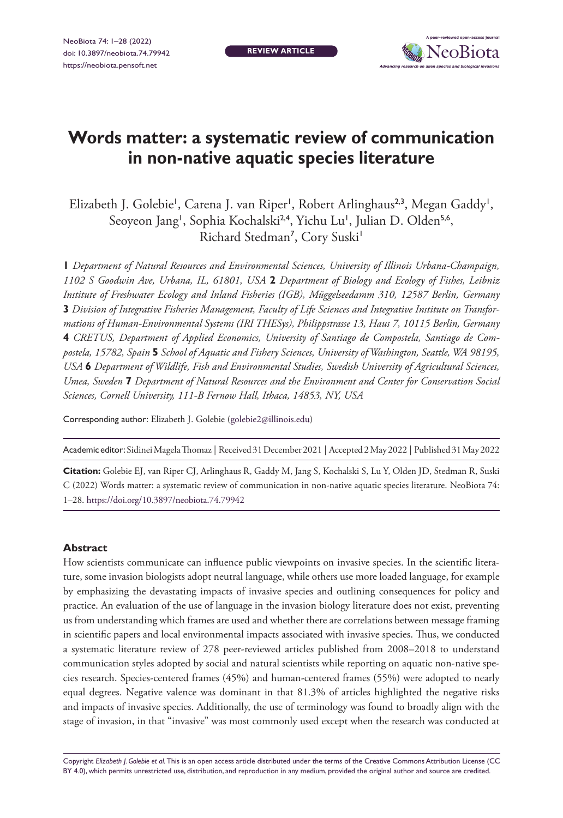**REVIEW ARTICLE**



# **Words matter: a systematic review of communication in non-native aquatic species literature**

Elizabeth J. Golebie', Carena J. van Riper', Robert Arlinghaus<sup>2,3</sup>, Megan Gaddy', Seoyeon Jang<sup>1</sup>, Sophia Kochalski<sup>2,4</sup>, Yichu Lu<sup>1</sup>, Julian D. Olden<sup>5,6</sup>, Richard Stedman<sup>7</sup>, Cory Suski<sup>1</sup>

**1** *Department of Natural Resources and Environmental Sciences, University of Illinois Urbana-Champaign, 1102 S Goodwin Ave, Urbana, IL, 61801, USA* **2** *Department of Biology and Ecology of Fishes, Leibniz Institute of Freshwater Ecology and Inland Fisheries (IGB), Müggelseedamm 310, 12587 Berlin, Germany*  **3** *Division of Integrative Fisheries Management, Faculty of Life Sciences and Integrative Institute on Transformations of Human-Environmental Systems (IRI THESys), Philippstrasse 13, Haus 7, 10115 Berlin, Germany*  **4** *CRETUS, Department of Applied Economics, University of Santiago de Compostela, Santiago de Compostela, 15782, Spain* **5** *School of Aquatic and Fishery Sciences, University of Washington, Seattle, WA 98195, USA* **6** *Department of Wildlife, Fish and Environmental Studies, Swedish University of Agricultural Sciences, Umea, Sweden* **7** *Department of Natural Resources and the Environment and Center for Conservation Social Sciences, Cornell University, 111-B Fernow Hall, Ithaca, 14853, NY, USA*

Corresponding author: Elizabeth J. Golebie ([golebie2@illinois.edu\)](mailto:golebie2@illinois.edu)

Academic editor: Sidinei Magela Thomaz | Received 31 December 2021 | Accepted 2 May 2022 | Published 31 May 2022

**Citation:** Golebie EJ, van Riper CJ, Arlinghaus R, Gaddy M, Jang S, Kochalski S, Lu Y, Olden JD, Stedman R, Suski C (2022) Words matter: a systematic review of communication in non-native aquatic species literature. NeoBiota 74: 1–28.<https://doi.org/10.3897/neobiota.74.79942>

#### **Abstract**

How scientists communicate can influence public viewpoints on invasive species. In the scientific literature, some invasion biologists adopt neutral language, while others use more loaded language, for example by emphasizing the devastating impacts of invasive species and outlining consequences for policy and practice. An evaluation of the use of language in the invasion biology literature does not exist, preventing us from understanding which frames are used and whether there are correlations between message framing in scientific papers and local environmental impacts associated with invasive species. Thus, we conducted a systematic literature review of 278 peer-reviewed articles published from 2008–2018 to understand communication styles adopted by social and natural scientists while reporting on aquatic non-native species research. Species-centered frames (45%) and human-centered frames (55%) were adopted to nearly equal degrees. Negative valence was dominant in that 81.3% of articles highlighted the negative risks and impacts of invasive species. Additionally, the use of terminology was found to broadly align with the stage of invasion, in that "invasive" was most commonly used except when the research was conducted at

Copyright *Elizabeth J. Golebie et al.* This is an open access article distributed under the terms of the [Creative Commons Attribution License \(CC](http://creativecommons.org/licenses/by/4.0/)  [BY 4.0\)](http://creativecommons.org/licenses/by/4.0/), which permits unrestricted use, distribution, and reproduction in any medium, provided the original author and source are credited.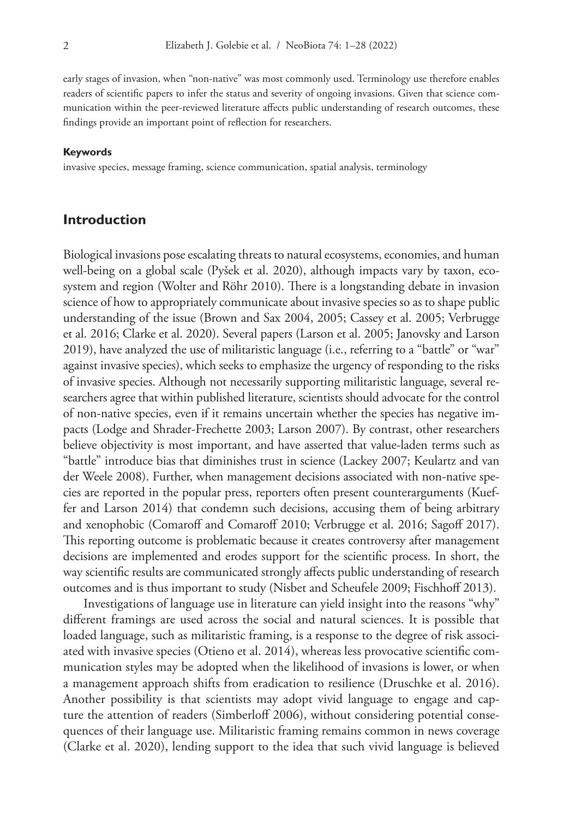early stages of invasion, when "non-native" was most commonly used. Terminology use therefore enables readers of scientific papers to infer the status and severity of ongoing invasions. Given that science communication within the peer-reviewed literature affects public understanding of research outcomes, these findings provide an important point of reflection for researchers.

#### **Keywords**

invasive species, message framing, science communication, spatial analysis, terminology

### **Introduction**

Biological invasions pose escalating threats to natural ecosystems, economies, and human well-being on a global scale (Pyšek et al. 2020), although impacts vary by taxon, ecosystem and region (Wolter and Röhr 2010). There is a longstanding debate in invasion science of how to appropriately communicate about invasive species so as to shape public understanding of the issue (Brown and Sax 2004, 2005; Cassey et al. 2005; Verbrugge et al. 2016; Clarke et al. 2020). Several papers (Larson et al. 2005; Janovsky and Larson 2019), have analyzed the use of militaristic language (i.e., referring to a "battle" or "war" against invasive species), which seeks to emphasize the urgency of responding to the risks of invasive species. Although not necessarily supporting militaristic language, several researchers agree that within published literature, scientists should advocate for the control of non-native species, even if it remains uncertain whether the species has negative impacts (Lodge and Shrader-Frechette 2003; Larson 2007). By contrast, other researchers believe objectivity is most important, and have asserted that value-laden terms such as "battle" introduce bias that diminishes trust in science (Lackey 2007; Keulartz and van der Weele 2008). Further, when management decisions associated with non-native species are reported in the popular press, reporters often present counterarguments (Kueffer and Larson 2014) that condemn such decisions, accusing them of being arbitrary and xenophobic (Comaroff and Comaroff 2010; Verbrugge et al. 2016; Sagoff 2017). This reporting outcome is problematic because it creates controversy after management decisions are implemented and erodes support for the scientific process. In short, the way scientific results are communicated strongly affects public understanding of research outcomes and is thus important to study (Nisbet and Scheufele 2009; Fischhoff 2013).

Investigations of language use in literature can yield insight into the reasons "why" different framings are used across the social and natural sciences. It is possible that loaded language, such as militaristic framing, is a response to the degree of risk associated with invasive species (Otieno et al. 2014), whereas less provocative scientific communication styles may be adopted when the likelihood of invasions is lower, or when a management approach shifts from eradication to resilience (Druschke et al. 2016). Another possibility is that scientists may adopt vivid language to engage and capture the attention of readers (Simberloff 2006), without considering potential consequences of their language use. Militaristic framing remains common in news coverage (Clarke et al. 2020), lending support to the idea that such vivid language is believed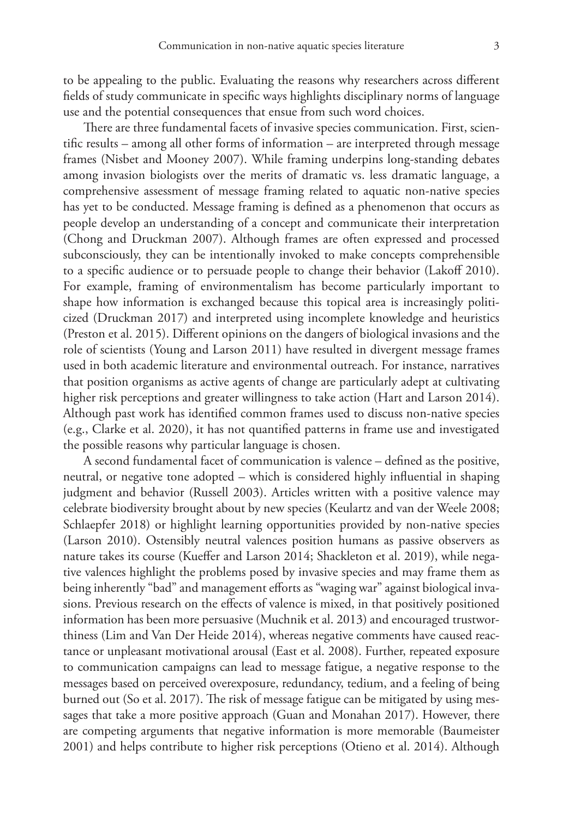to be appealing to the public. Evaluating the reasons why researchers across different fields of study communicate in specific ways highlights disciplinary norms of language use and the potential consequences that ensue from such word choices.

There are three fundamental facets of invasive species communication. First, scientific results – among all other forms of information – are interpreted through message frames (Nisbet and Mooney 2007). While framing underpins long-standing debates among invasion biologists over the merits of dramatic vs. less dramatic language, a comprehensive assessment of message framing related to aquatic non-native species has yet to be conducted. Message framing is defined as a phenomenon that occurs as people develop an understanding of a concept and communicate their interpretation (Chong and Druckman 2007). Although frames are often expressed and processed subconsciously, they can be intentionally invoked to make concepts comprehensible to a specific audience or to persuade people to change their behavior (Lakoff 2010). For example, framing of environmentalism has become particularly important to shape how information is exchanged because this topical area is increasingly politicized (Druckman 2017) and interpreted using incomplete knowledge and heuristics (Preston et al. 2015). Different opinions on the dangers of biological invasions and the role of scientists (Young and Larson 2011) have resulted in divergent message frames used in both academic literature and environmental outreach. For instance, narratives that position organisms as active agents of change are particularly adept at cultivating higher risk perceptions and greater willingness to take action (Hart and Larson 2014). Although past work has identified common frames used to discuss non-native species (e.g., Clarke et al. 2020), it has not quantified patterns in frame use and investigated the possible reasons why particular language is chosen.

A second fundamental facet of communication is valence – defined as the positive, neutral, or negative tone adopted – which is considered highly influential in shaping judgment and behavior (Russell 2003). Articles written with a positive valence may celebrate biodiversity brought about by new species (Keulartz and van der Weele 2008; Schlaepfer 2018) or highlight learning opportunities provided by non-native species (Larson 2010). Ostensibly neutral valences position humans as passive observers as nature takes its course (Kueffer and Larson 2014; Shackleton et al. 2019), while negative valences highlight the problems posed by invasive species and may frame them as being inherently "bad" and management efforts as "waging war" against biological invasions. Previous research on the effects of valence is mixed, in that positively positioned information has been more persuasive (Muchnik et al. 2013) and encouraged trustworthiness (Lim and Van Der Heide 2014), whereas negative comments have caused reactance or unpleasant motivational arousal (East et al. 2008). Further, repeated exposure to communication campaigns can lead to message fatigue, a negative response to the messages based on perceived overexposure, redundancy, tedium, and a feeling of being burned out (So et al. 2017). The risk of message fatigue can be mitigated by using messages that take a more positive approach (Guan and Monahan 2017). However, there are competing arguments that negative information is more memorable (Baumeister 2001) and helps contribute to higher risk perceptions (Otieno et al. 2014). Although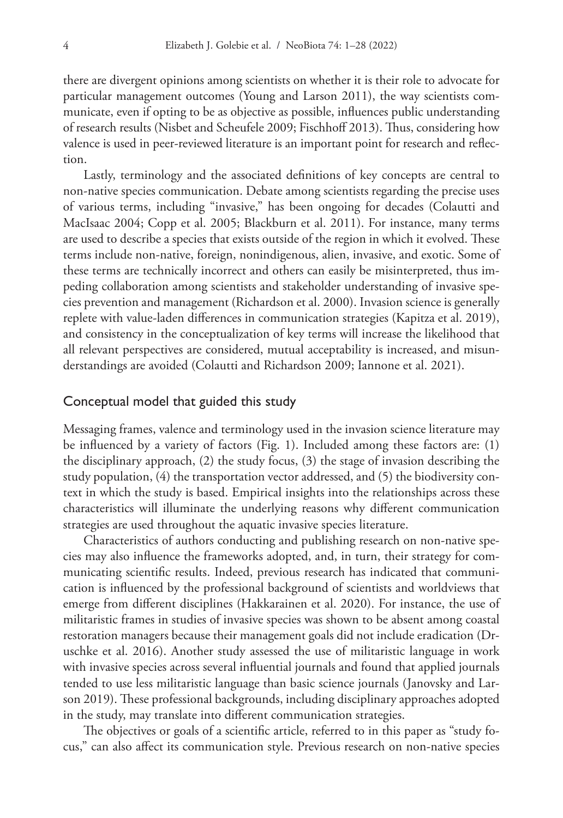there are divergent opinions among scientists on whether it is their role to advocate for particular management outcomes (Young and Larson 2011), the way scientists communicate, even if opting to be as objective as possible, influences public understanding of research results (Nisbet and Scheufele 2009; Fischhoff 2013). Thus, considering how valence is used in peer-reviewed literature is an important point for research and reflection.

Lastly, terminology and the associated definitions of key concepts are central to non-native species communication. Debate among scientists regarding the precise uses of various terms, including "invasive," has been ongoing for decades (Colautti and MacIsaac 2004; Copp et al. 2005; Blackburn et al. 2011). For instance, many terms are used to describe a species that exists outside of the region in which it evolved. These terms include non-native, foreign, nonindigenous, alien, invasive, and exotic. Some of these terms are technically incorrect and others can easily be misinterpreted, thus impeding collaboration among scientists and stakeholder understanding of invasive species prevention and management (Richardson et al. 2000). Invasion science is generally replete with value-laden differences in communication strategies (Kapitza et al. 2019), and consistency in the conceptualization of key terms will increase the likelihood that all relevant perspectives are considered, mutual acceptability is increased, and misunderstandings are avoided (Colautti and Richardson 2009; Iannone et al. 2021).

#### Conceptual model that guided this study

Messaging frames, valence and terminology used in the invasion science literature may be influenced by a variety of factors (Fig. 1). Included among these factors are: (1) the disciplinary approach, (2) the study focus, (3) the stage of invasion describing the study population, (4) the transportation vector addressed, and (5) the biodiversity context in which the study is based. Empirical insights into the relationships across these characteristics will illuminate the underlying reasons why different communication strategies are used throughout the aquatic invasive species literature.

Characteristics of authors conducting and publishing research on non-native species may also influence the frameworks adopted, and, in turn, their strategy for communicating scientific results. Indeed, previous research has indicated that communication is influenced by the professional background of scientists and worldviews that emerge from different disciplines (Hakkarainen et al. 2020). For instance, the use of militaristic frames in studies of invasive species was shown to be absent among coastal restoration managers because their management goals did not include eradication (Druschke et al. 2016). Another study assessed the use of militaristic language in work with invasive species across several influential journals and found that applied journals tended to use less militaristic language than basic science journals (Janovsky and Larson 2019). These professional backgrounds, including disciplinary approaches adopted in the study, may translate into different communication strategies.

The objectives or goals of a scientific article, referred to in this paper as "study focus," can also affect its communication style. Previous research on non-native species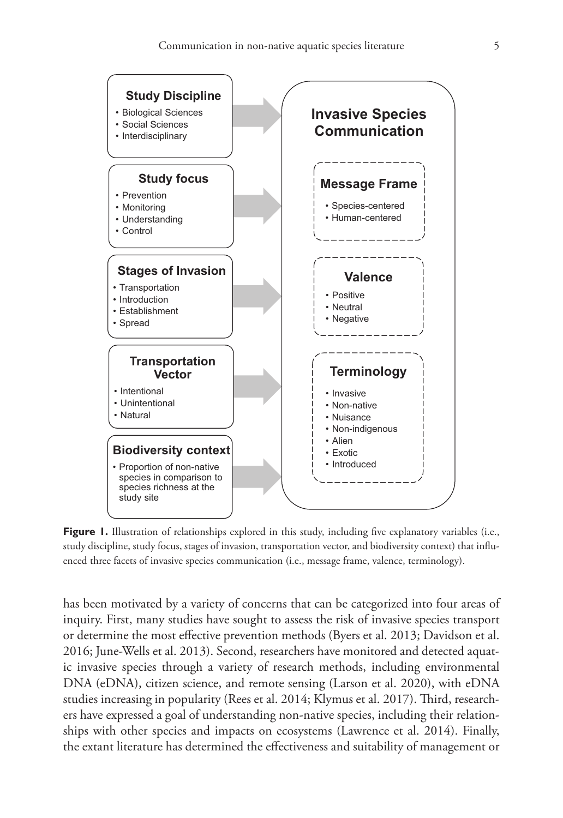**Study Discipline**



**Figure 1.** Illustration of relationships explored in this study, including five explanatory variables (i.e., study discipline, study focus, stages of invasion, transportation vector, and biodiversity context) that influenced three facets of invasive species communication (i.e., message frame, valence, terminology).

has been motivated by a variety of concerns that can be categorized into four areas of inquiry. First, many studies have sought to assess the risk of invasive species transport or determine the most effective prevention methods (Byers et al. 2013; Davidson et al. 2016; June-Wells et al. 2013). Second, researchers have monitored and detected aquatic invasive species through a variety of research methods, including environmental DNA (eDNA), citizen science, and remote sensing (Larson et al. 2020), with eDNA studies increasing in popularity (Rees et al. 2014; Klymus et al. 2017). Third, researchers have expressed a goal of understanding non-native species, including their relationships with other species and impacts on ecosystems (Lawrence et al. 2014). Finally, the extant literature has determined the effectiveness and suitability of management or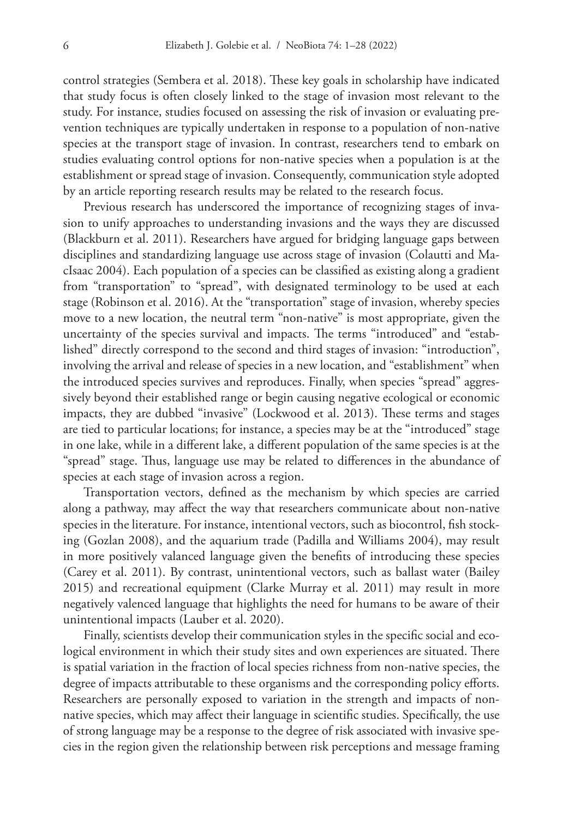control strategies (Sembera et al. 2018). These key goals in scholarship have indicated that study focus is often closely linked to the stage of invasion most relevant to the study. For instance, studies focused on assessing the risk of invasion or evaluating prevention techniques are typically undertaken in response to a population of non-native species at the transport stage of invasion. In contrast, researchers tend to embark on studies evaluating control options for non-native species when a population is at the establishment or spread stage of invasion. Consequently, communication style adopted by an article reporting research results may be related to the research focus.

Previous research has underscored the importance of recognizing stages of invasion to unify approaches to understanding invasions and the ways they are discussed (Blackburn et al. 2011). Researchers have argued for bridging language gaps between disciplines and standardizing language use across stage of invasion (Colautti and MacIsaac 2004). Each population of a species can be classified as existing along a gradient from "transportation" to "spread", with designated terminology to be used at each stage (Robinson et al. 2016). At the "transportation" stage of invasion, whereby species move to a new location, the neutral term "non-native" is most appropriate, given the uncertainty of the species survival and impacts. The terms "introduced" and "established" directly correspond to the second and third stages of invasion: "introduction", involving the arrival and release of species in a new location, and "establishment" when the introduced species survives and reproduces. Finally, when species "spread" aggressively beyond their established range or begin causing negative ecological or economic impacts, they are dubbed "invasive" (Lockwood et al. 2013). These terms and stages are tied to particular locations; for instance, a species may be at the "introduced" stage in one lake, while in a different lake, a different population of the same species is at the "spread" stage. Thus, language use may be related to differences in the abundance of species at each stage of invasion across a region.

Transportation vectors, defined as the mechanism by which species are carried along a pathway, may affect the way that researchers communicate about non-native species in the literature. For instance, intentional vectors, such as biocontrol, fish stocking (Gozlan 2008), and the aquarium trade (Padilla and Williams 2004), may result in more positively valanced language given the benefits of introducing these species (Carey et al. 2011). By contrast, unintentional vectors, such as ballast water (Bailey 2015) and recreational equipment (Clarke Murray et al. 2011) may result in more negatively valenced language that highlights the need for humans to be aware of their unintentional impacts (Lauber et al. 2020).

Finally, scientists develop their communication styles in the specific social and ecological environment in which their study sites and own experiences are situated. There is spatial variation in the fraction of local species richness from non-native species, the degree of impacts attributable to these organisms and the corresponding policy efforts. Researchers are personally exposed to variation in the strength and impacts of nonnative species, which may affect their language in scientific studies. Specifically, the use of strong language may be a response to the degree of risk associated with invasive species in the region given the relationship between risk perceptions and message framing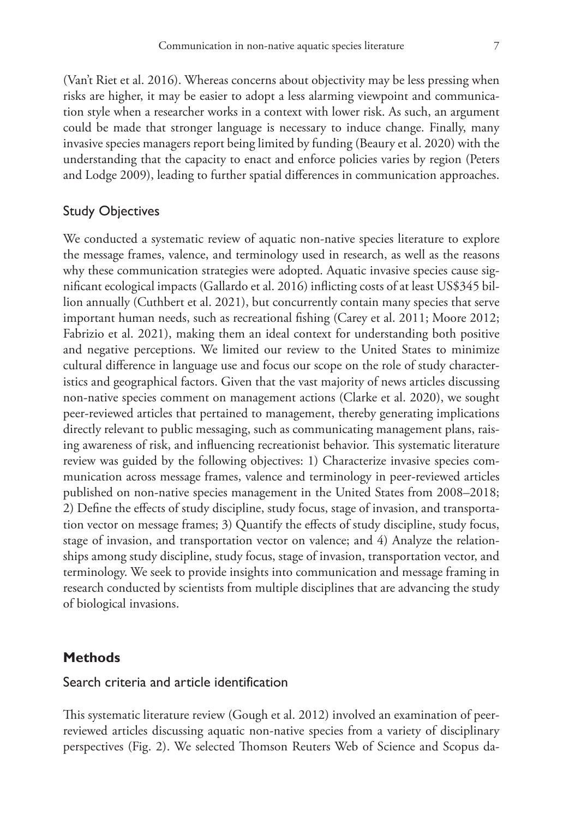(Van't Riet et al. 2016). Whereas concerns about objectivity may be less pressing when risks are higher, it may be easier to adopt a less alarming viewpoint and communication style when a researcher works in a context with lower risk. As such, an argument could be made that stronger language is necessary to induce change. Finally, many invasive species managers report being limited by funding (Beaury et al. 2020) with the understanding that the capacity to enact and enforce policies varies by region (Peters and Lodge 2009), leading to further spatial differences in communication approaches.

## Study Objectives

We conducted a systematic review of aquatic non-native species literature to explore the message frames, valence, and terminology used in research, as well as the reasons why these communication strategies were adopted. Aquatic invasive species cause significant ecological impacts (Gallardo et al. 2016) inflicting costs of at least US\$345 billion annually (Cuthbert et al. 2021), but concurrently contain many species that serve important human needs, such as recreational fishing (Carey et al. 2011; Moore 2012; Fabrizio et al. 2021), making them an ideal context for understanding both positive and negative perceptions. We limited our review to the United States to minimize cultural difference in language use and focus our scope on the role of study characteristics and geographical factors. Given that the vast majority of news articles discussing non-native species comment on management actions (Clarke et al. 2020), we sought peer-reviewed articles that pertained to management, thereby generating implications directly relevant to public messaging, such as communicating management plans, raising awareness of risk, and influencing recreationist behavior. This systematic literature review was guided by the following objectives: 1) Characterize invasive species communication across message frames, valence and terminology in peer-reviewed articles published on non-native species management in the United States from 2008–2018; 2) Define the effects of study discipline, study focus, stage of invasion, and transportation vector on message frames; 3) Quantify the effects of study discipline, study focus, stage of invasion, and transportation vector on valence; and 4) Analyze the relationships among study discipline, study focus, stage of invasion, transportation vector, and terminology. We seek to provide insights into communication and message framing in research conducted by scientists from multiple disciplines that are advancing the study of biological invasions.

## **Methods**

### Search criteria and article identification

This systematic literature review (Gough et al. 2012) involved an examination of peerreviewed articles discussing aquatic non-native species from a variety of disciplinary perspectives (Fig. 2). We selected Thomson Reuters Web of Science and Scopus da-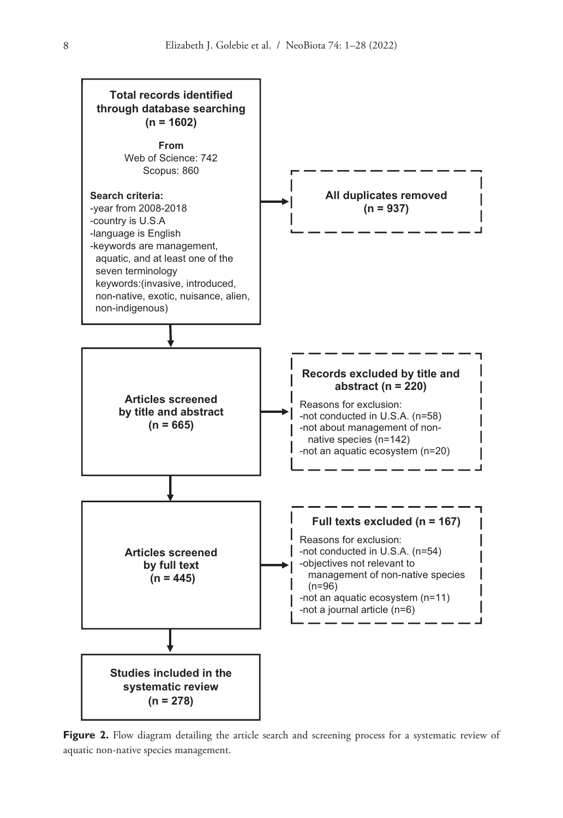

Figure 2. Flow diagram detailing the article search and screening process for a systematic review of aquatic non-native species management.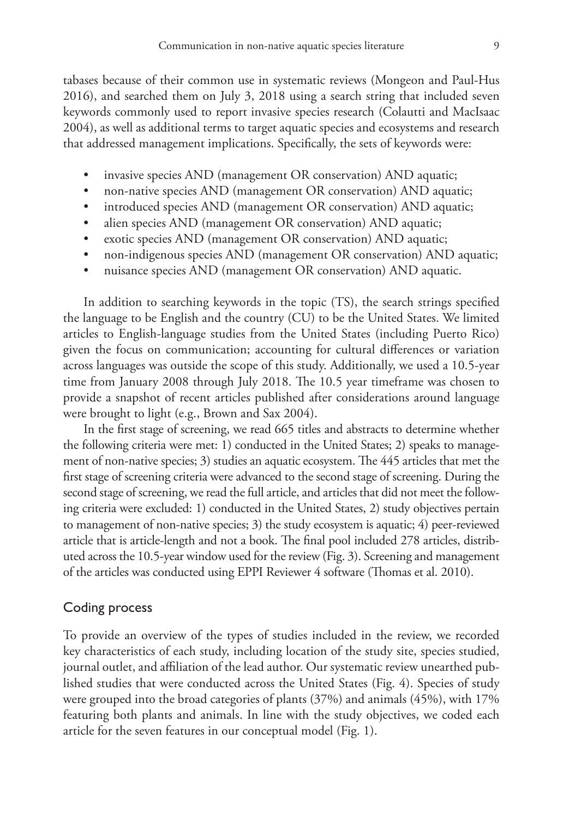tabases because of their common use in systematic reviews (Mongeon and Paul-Hus 2016), and searched them on July 3, 2018 using a search string that included seven keywords commonly used to report invasive species research (Colautti and MacIsaac 2004), as well as additional terms to target aquatic species and ecosystems and research that addressed management implications. Specifically, the sets of keywords were:

- invasive species AND (management OR conservation) AND aquatic;
- non-native species AND (management OR conservation) AND aquatic;
- introduced species AND (management OR conservation) AND aquatic;
- alien species AND (management OR conservation) AND aquatic;
- exotic species AND (management OR conservation) AND aquatic;
- non-indigenous species AND (management OR conservation) AND aquatic;
- nuisance species AND (management OR conservation) AND aquatic.

In addition to searching keywords in the topic (TS), the search strings specified the language to be English and the country (CU) to be the United States. We limited articles to English-language studies from the United States (including Puerto Rico) given the focus on communication; accounting for cultural differences or variation across languages was outside the scope of this study. Additionally, we used a 10.5-year time from January 2008 through July 2018. The 10.5 year timeframe was chosen to provide a snapshot of recent articles published after considerations around language were brought to light (e.g., Brown and Sax 2004).

In the first stage of screening, we read 665 titles and abstracts to determine whether the following criteria were met: 1) conducted in the United States; 2) speaks to management of non-native species; 3) studies an aquatic ecosystem. The 445 articles that met the first stage of screening criteria were advanced to the second stage of screening. During the second stage of screening, we read the full article, and articles that did not meet the following criteria were excluded: 1) conducted in the United States, 2) study objectives pertain to management of non-native species; 3) the study ecosystem is aquatic; 4) peer-reviewed article that is article-length and not a book. The final pool included 278 articles, distributed across the 10.5-year window used for the review (Fig. 3). Screening and management of the articles was conducted using EPPI Reviewer 4 software (Thomas et al. 2010).

## Coding process

To provide an overview of the types of studies included in the review, we recorded key characteristics of each study, including location of the study site, species studied, journal outlet, and affiliation of the lead author. Our systematic review unearthed published studies that were conducted across the United States (Fig. 4). Species of study were grouped into the broad categories of plants (37%) and animals (45%), with 17% featuring both plants and animals. In line with the study objectives, we coded each article for the seven features in our conceptual model (Fig. 1).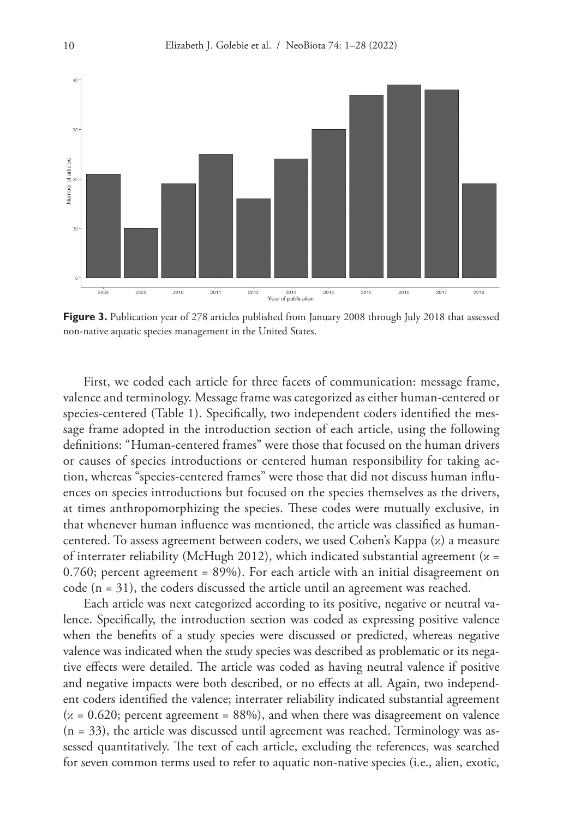

Figure 3. Publication year of 278 articles published from January 2008 through July 2018 that assessed non-native aquatic species management in the United States.

First, we coded each article for three facets of communication: message frame, valence and terminology. Message frame was categorized as either human-centered or species-centered (Table 1). Specifically, two independent coders identified the message frame adopted in the introduction section of each article, using the following definitions: "Human-centered frames" were those that focused on the human drivers or causes of species introductions or centered human responsibility for taking action, whereas "species-centered frames" were those that did not discuss human influences on species introductions but focused on the species themselves as the drivers, at times anthropomorphizing the species. These codes were mutually exclusive, in that whenever human influence was mentioned, the article was classified as humancentered. To assess agreement between coders, we used Cohen's Kappa (κ) a measure of interrater reliability (McHugh 2012), which indicated substantial agreement ( $x =$ 0.760; percent agreement = 89%). For each article with an initial disagreement on code (n = 31), the coders discussed the article until an agreement was reached.

Each article was next categorized according to its positive, negative or neutral valence. Specifically, the introduction section was coded as expressing positive valence when the benefits of a study species were discussed or predicted, whereas negative valence was indicated when the study species was described as problematic or its negative effects were detailed. The article was coded as having neutral valence if positive and negative impacts were both described, or no effects at all. Again, two independent coders identified the valence; interrater reliability indicated substantial agreement  $(x = 0.620;$  percent agreement = 88%), and when there was disagreement on valence (n = 33), the article was discussed until agreement was reached. Terminology was assessed quantitatively. The text of each article, excluding the references, was searched for seven common terms used to refer to aquatic non-native species (i.e., alien, exotic,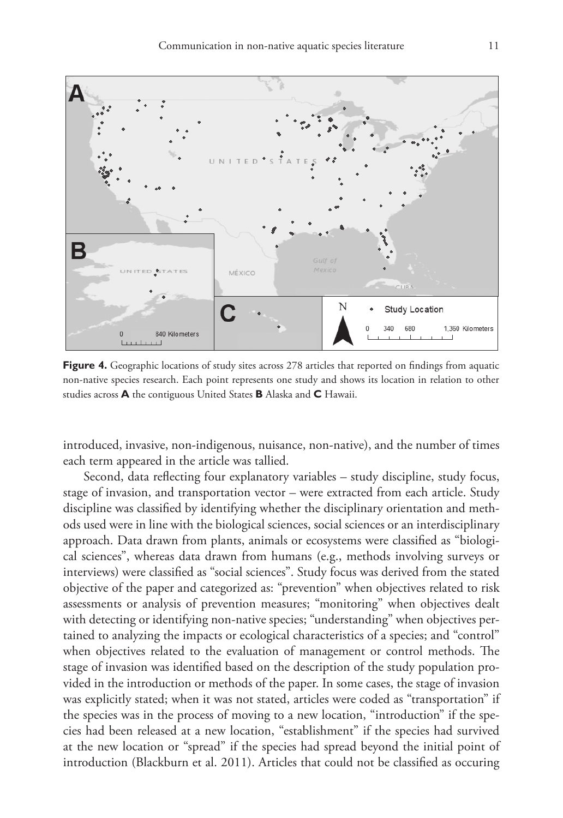

**Figure 4.** Geographic locations of study sites across 278 articles that reported on findings from aquatic non-native species research. Each point represents one study and shows its location in relation to other studies across **A** the contiguous United States **B** Alaska and **C** Hawaii.

introduced, invasive, non-indigenous, nuisance, non-native), and the number of times each term appeared in the article was tallied.

Second, data reflecting four explanatory variables – study discipline, study focus, stage of invasion, and transportation vector – were extracted from each article. Study discipline was classified by identifying whether the disciplinary orientation and methods used were in line with the biological sciences, social sciences or an interdisciplinary approach. Data drawn from plants, animals or ecosystems were classified as "biological sciences", whereas data drawn from humans (e.g., methods involving surveys or interviews) were classified as "social sciences". Study focus was derived from the stated objective of the paper and categorized as: "prevention" when objectives related to risk assessments or analysis of prevention measures; "monitoring" when objectives dealt with detecting or identifying non-native species; "understanding" when objectives pertained to analyzing the impacts or ecological characteristics of a species; and "control" when objectives related to the evaluation of management or control methods. The stage of invasion was identified based on the description of the study population provided in the introduction or methods of the paper. In some cases, the stage of invasion was explicitly stated; when it was not stated, articles were coded as "transportation" if the species was in the process of moving to a new location, "introduction" if the species had been released at a new location, "establishment" if the species had survived at the new location or "spread" if the species had spread beyond the initial point of introduction (Blackburn et al. 2011). Articles that could not be classified as occuring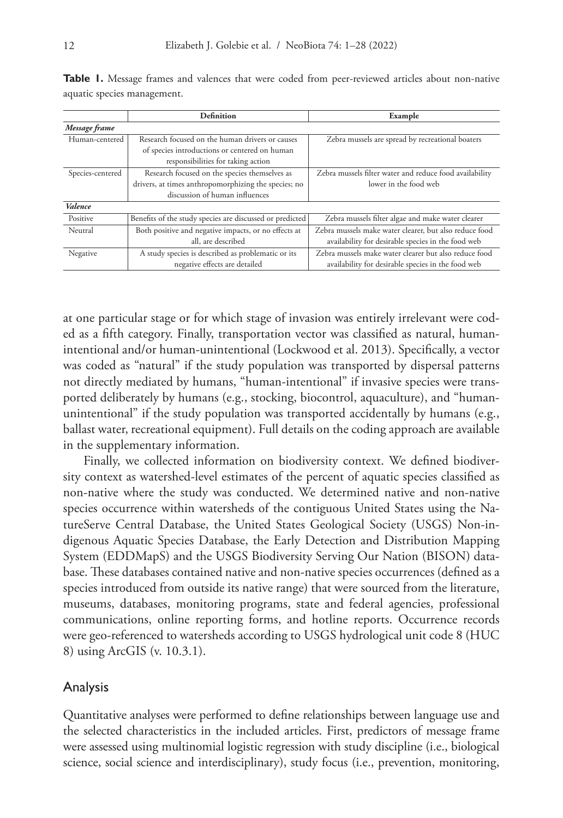|                  | Definition                                               | Example                                                 |  |  |
|------------------|----------------------------------------------------------|---------------------------------------------------------|--|--|
| Message frame    |                                                          |                                                         |  |  |
| Human-centered   | Research focused on the human drivers or causes          | Zebra mussels are spread by recreational boaters        |  |  |
|                  | of species introductions or centered on human            |                                                         |  |  |
|                  | responsibilities for taking action                       |                                                         |  |  |
| Species-centered | Research focused on the species themselves as            | Zebra mussels filter water and reduce food availability |  |  |
|                  | drivers, at times anthropomorphizing the species; no     | lower in the food web                                   |  |  |
|                  | discussion of human influences                           |                                                         |  |  |
| Valence          |                                                          |                                                         |  |  |
| Positive         | Benefits of the study species are discussed or predicted | Zebra mussels filter algae and make water clearer       |  |  |
| Neutral          | Both positive and negative impacts, or no effects at     | Zebra mussels make water clearer, but also reduce food  |  |  |
|                  | all, are described                                       | availability for desirable species in the food web      |  |  |
| Negative         | A study species is described as problematic or its       | Zebra mussels make water clearer but also reduce food   |  |  |
|                  | negative effects are detailed                            | availability for desirable species in the food web      |  |  |

Table I. Message frames and valences that were coded from peer-reviewed articles about non-native aquatic species management.

at one particular stage or for which stage of invasion was entirely irrelevant were coded as a fifth category. Finally, transportation vector was classified as natural, humanintentional and/or human-unintentional (Lockwood et al. 2013). Specifically, a vector was coded as "natural" if the study population was transported by dispersal patterns not directly mediated by humans, "human-intentional" if invasive species were transported deliberately by humans (e.g., stocking, biocontrol, aquaculture), and "humanunintentional" if the study population was transported accidentally by humans (e.g., ballast water, recreational equipment). Full details on the coding approach are available in the supplementary information.

Finally, we collected information on biodiversity context. We defined biodiversity context as watershed-level estimates of the percent of aquatic species classified as non-native where the study was conducted. We determined native and non-native species occurrence within watersheds of the contiguous United States using the NatureServe Central Database, the United States Geological Society (USGS) Non-indigenous Aquatic Species Database, the Early Detection and Distribution Mapping System (EDDMapS) and the USGS Biodiversity Serving Our Nation (BISON) database. These databases contained native and non-native species occurrences (defined as a species introduced from outside its native range) that were sourced from the literature, museums, databases, monitoring programs, state and federal agencies, professional communications, online reporting forms, and hotline reports. Occurrence records were geo-referenced to watersheds according to USGS hydrological unit code 8 (HUC 8) using ArcGIS (v. 10.3.1).

### Analysis

Quantitative analyses were performed to define relationships between language use and the selected characteristics in the included articles. First, predictors of message frame were assessed using multinomial logistic regression with study discipline (i.e., biological science, social science and interdisciplinary), study focus (i.e., prevention, monitoring,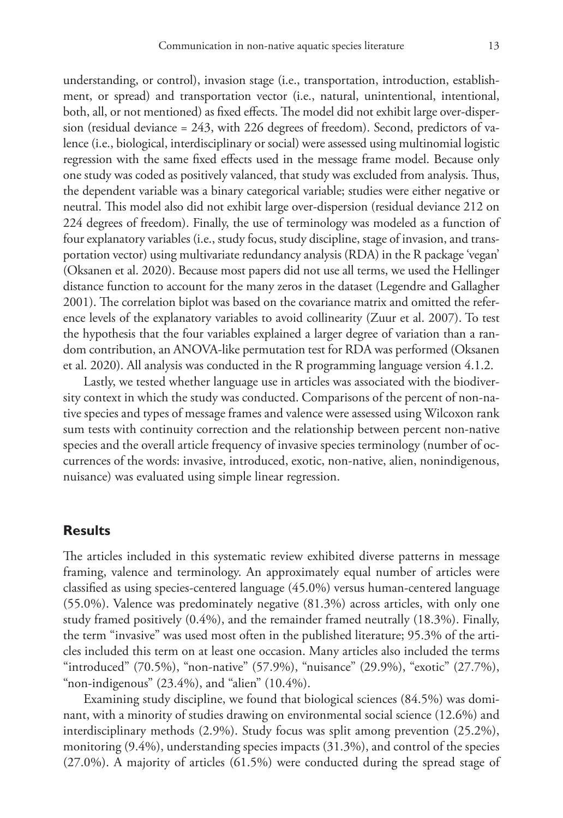understanding, or control), invasion stage (i.e., transportation, introduction, establishment, or spread) and transportation vector (i.e., natural, unintentional, intentional, both, all, or not mentioned) as fixed effects. The model did not exhibit large over-dispersion (residual deviance = 243, with 226 degrees of freedom). Second, predictors of valence (i.e., biological, interdisciplinary or social) were assessed using multinomial logistic regression with the same fixed effects used in the message frame model. Because only one study was coded as positively valanced, that study was excluded from analysis. Thus, the dependent variable was a binary categorical variable; studies were either negative or neutral. This model also did not exhibit large over-dispersion (residual deviance 212 on 224 degrees of freedom). Finally, the use of terminology was modeled as a function of four explanatory variables (i.e., study focus, study discipline, stage of invasion, and transportation vector) using multivariate redundancy analysis (RDA) in the R package 'vegan' (Oksanen et al. 2020). Because most papers did not use all terms, we used the Hellinger distance function to account for the many zeros in the dataset (Legendre and Gallagher 2001). The correlation biplot was based on the covariance matrix and omitted the reference levels of the explanatory variables to avoid collinearity (Zuur et al. 2007). To test the hypothesis that the four variables explained a larger degree of variation than a random contribution, an ANOVA-like permutation test for RDA was performed (Oksanen et al. 2020). All analysis was conducted in the R programming language version 4.1.2.

Lastly, we tested whether language use in articles was associated with the biodiversity context in which the study was conducted. Comparisons of the percent of non-native species and types of message frames and valence were assessed using Wilcoxon rank sum tests with continuity correction and the relationship between percent non-native species and the overall article frequency of invasive species terminology (number of occurrences of the words: invasive, introduced, exotic, non-native, alien, nonindigenous, nuisance) was evaluated using simple linear regression.

## **Results**

The articles included in this systematic review exhibited diverse patterns in message framing, valence and terminology. An approximately equal number of articles were classified as using species-centered language (45.0%) versus human-centered language (55.0%). Valence was predominately negative (81.3%) across articles, with only one study framed positively (0.4%), and the remainder framed neutrally (18.3%). Finally, the term "invasive" was used most often in the published literature; 95.3% of the articles included this term on at least one occasion. Many articles also included the terms "introduced" (70.5%), "non-native" (57.9%), "nuisance" (29.9%), "exotic" (27.7%), "non-indigenous"  $(23.4\%)$ , and "alien"  $(10.4\%)$ .

Examining study discipline, we found that biological sciences (84.5%) was dominant, with a minority of studies drawing on environmental social science (12.6%) and interdisciplinary methods (2.9%). Study focus was split among prevention (25.2%), monitoring (9.4%), understanding species impacts (31.3%), and control of the species (27.0%). A majority of articles (61.5%) were conducted during the spread stage of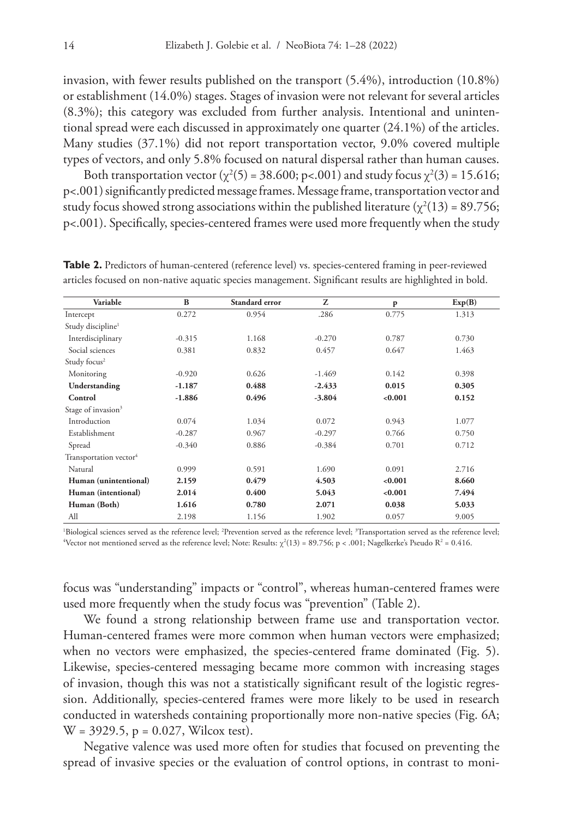invasion, with fewer results published on the transport (5.4%), introduction (10.8%) or establishment (14.0%) stages. Stages of invasion were not relevant for several articles (8.3%); this category was excluded from further analysis. Intentional and unintentional spread were each discussed in approximately one quarter (24.1%) of the articles. Many studies (37.1%) did not report transportation vector, 9.0% covered multiple types of vectors, and only 5.8% focused on natural dispersal rather than human causes.

Both transportation vector ( $\chi^2(5) = 38.600$ ; p<.001) and study focus  $\chi^2(3) = 15.616$ ; p<.001) significantly predicted message frames. Message frame, transportation vector and study focus showed strong associations within the published literature ( $\chi^2(13)$  = 89.756; p<.001). Specifically, species-centered frames were used more frequently when the study

| Variable                           | $\bf{B}$ | Standard error | Z        | P       | Exp(B) |  |
|------------------------------------|----------|----------------|----------|---------|--------|--|
| Intercept                          | 0.272    |                | .286     | 0.775   | 1.313  |  |
| Study discipline <sup>1</sup>      |          |                |          |         |        |  |
| Interdisciplinary                  | $-0.315$ | 1.168          | $-0.270$ | 0.787   | 0.730  |  |
| Social sciences                    | 0.381    | 0.832          | 0.457    | 0.647   | 1.463  |  |
| Study focus <sup>2</sup>           |          |                |          |         |        |  |
| Monitoring                         | $-0.920$ | 0.626          | $-1.469$ | 0.142   | 0.398  |  |
| Understanding                      | $-1.187$ | 0.488          | $-2.433$ | 0.015   | 0.305  |  |
| Control                            | $-1.886$ | 0.496          | $-3.804$ | < 0.001 | 0.152  |  |
| Stage of invasion <sup>3</sup>     |          |                |          |         |        |  |
| Introduction                       | 0.074    | 1.034          | 0.072    | 0.943   | 1.077  |  |
| Establishment                      | $-0.287$ |                | $-0.297$ | 0.766   | 0.750  |  |
| Spread                             | $-0.340$ | 0.886          | $-0.384$ | 0.701   | 0.712  |  |
| Transportation vector <sup>4</sup> |          |                |          |         |        |  |
| Natural                            | 0.999    | 0.591          | 1.690    | 0.091   | 2.716  |  |
| Human (unintentional)              | 2.159    | 0.479          | 4.503    | < 0.001 | 8.660  |  |
| Human (intentional)                | 2.014    | 0.400          | 5.043    | < 0.001 | 7.494  |  |
| Human (Both)                       | 1.616    | 0.780          | 2.071    | 0.038   | 5.033  |  |
| All                                | 2.198    | 1.156          | 1.902    | 0.057   | 9.005  |  |

Table 2. Predictors of human-centered (reference level) vs. species-centered framing in peer-reviewed articles focused on non-native aquatic species management. Significant results are highlighted in bold.

<sup>1</sup>Biological sciences served as the reference level; <sup>2</sup>Prevention served as the reference level; <sup>3</sup> <sup>1</sup>Biological sciences served as the reference level; <sup>2</sup>Prevention served as the reference level; <sup>3</sup>Transportation served as the reference level;<br><sup>4</sup>Vector not mentioned served as the reference level; Note: Results: χ<sup></sup>

focus was "understanding" impacts or "control", whereas human-centered frames were used more frequently when the study focus was "prevention" (Table 2).

We found a strong relationship between frame use and transportation vector. Human-centered frames were more common when human vectors were emphasized; when no vectors were emphasized, the species-centered frame dominated (Fig. 5). Likewise, species-centered messaging became more common with increasing stages of invasion, though this was not a statistically significant result of the logistic regression. Additionally, species-centered frames were more likely to be used in research conducted in watersheds containing proportionally more non-native species (Fig. 6A;  $W = 3929.5$ ,  $p = 0.027$ , Wilcox test).

Negative valence was used more often for studies that focused on preventing the spread of invasive species or the evaluation of control options, in contrast to moni-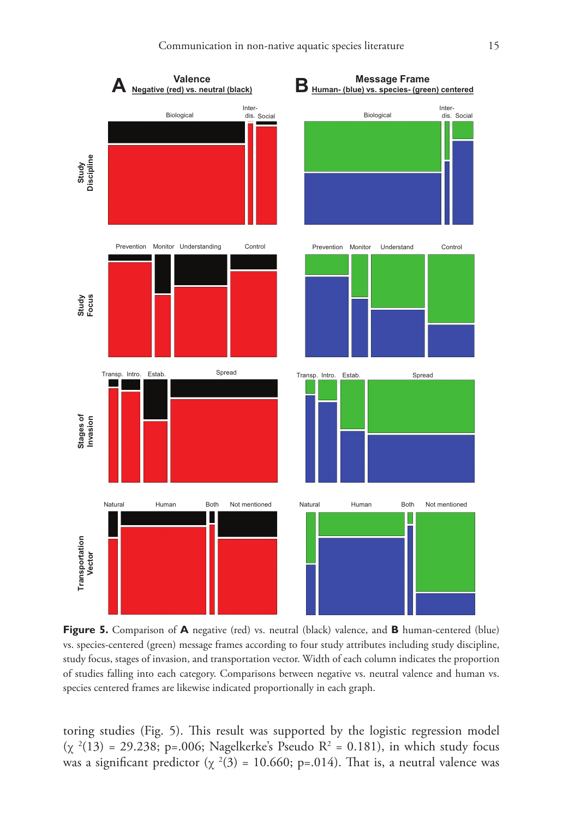

**Figure 5.** Comparison of **A** negative (red) vs. neutral (black) valence, and **B** human-centered (blue) vs. species-centered (green) message frames according to four study attributes including study discipline, study focus, stages of invasion, and transportation vector. Width of each column indicates the proportion of studies falling into each category. Comparisons between negative vs. neutral valence and human vs. species centered frames are likewise indicated proportionally in each graph.

toring studies (Fig. 5). This result was supported by the logistic regression model ( $\chi^2(13)$  = 29.238; p=.006; Nagelkerke's Pseudo R<sup>2</sup> = 0.181), in which study focus was a significant predictor ( $\chi^2(3) = 10.660$ ; p=.014). That is, a neutral valence was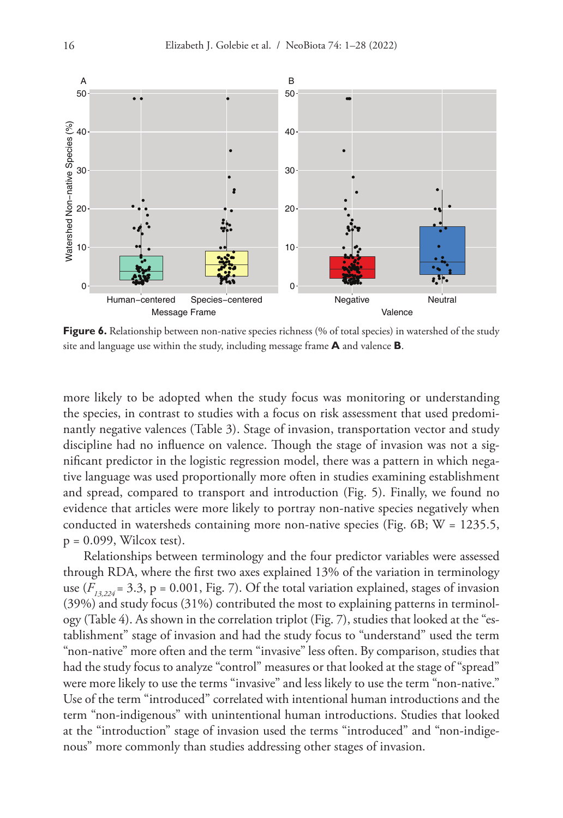

**Figure 6.** Relationship between non-native species richness (% of total species) in watershed of the study site and language use within the study, including message frame **A** and valence **B**.

more likely to be adopted when the study focus was monitoring or understanding the species, in contrast to studies with a focus on risk assessment that used predominantly negative valences (Table 3). Stage of invasion, transportation vector and study discipline had no influence on valence. Though the stage of invasion was not a significant predictor in the logistic regression model, there was a pattern in which negative language was used proportionally more often in studies examining establishment and spread, compared to transport and introduction (Fig. 5). Finally, we found no evidence that articles were more likely to portray non-native species negatively when conducted in watersheds containing more non-native species (Fig. 6B;  $W = 1235.5$ ,  $p = 0.099$ , Wilcox test).

Relationships between terminology and the four predictor variables were assessed through RDA, where the first two axes explained 13% of the variation in terminology use  $(F_{13,224} = 3.3, p = 0.001, Fig. 7)$ . Of the total variation explained, stages of invasion (39%) and study focus (31%) contributed the most to explaining patterns in terminology (Table 4). As shown in the correlation triplot (Fig. 7), studies that looked at the "establishment" stage of invasion and had the study focus to "understand" used the term "non-native" more often and the term "invasive" less often. By comparison, studies that had the study focus to analyze "control" measures or that looked at the stage of "spread" were more likely to use the terms "invasive" and less likely to use the term "non-native." Use of the term "introduced" correlated with intentional human introductions and the term "non-indigenous" with unintentional human introductions. Studies that looked at the "introduction" stage of invasion used the terms "introduced" and "non-indigenous" more commonly than studies addressing other stages of invasion.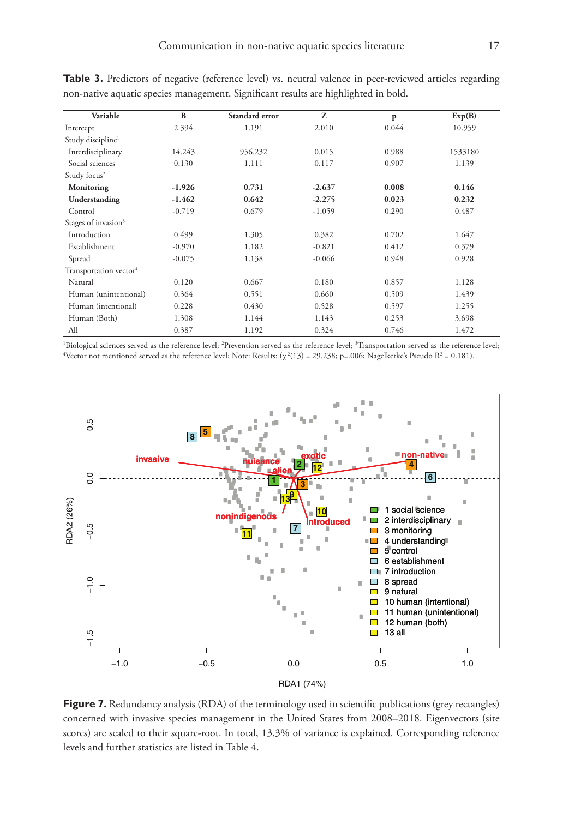| Variable                           | B        | Standard error | Z        | p     | Exp(B)  |
|------------------------------------|----------|----------------|----------|-------|---------|
| 2.394<br>Intercept                 |          | 1.191          | 2.010    | 0.044 | 10.959  |
| Study discipline <sup>1</sup>      |          |                |          |       |         |
| Interdisciplinary<br>14.243        |          | 956.232        | 0.015    | 0.988 | 1533180 |
| Social sciences                    | 0.130    | 1.111          | 0.117    | 0.907 | 1.139   |
| Study focus <sup>2</sup>           |          |                |          |       |         |
| Monitoring                         | $-1.926$ | 0.731          | $-2.637$ | 0.008 | 0.146   |
| Understanding                      | $-1.462$ | 0.642          | $-2.275$ | 0.023 | 0.232   |
| Control<br>$-0.719$                |          | 0.679          | $-1.059$ | 0.290 | 0.487   |
| Stages of invasion <sup>3</sup>    |          |                |          |       |         |
| Introduction                       | 0.499    | 1.305          | 0.382    | 0.702 | 1.647   |
| Establishment<br>$-0.970$          |          | 1.182          | $-0.821$ | 0.412 | 0.379   |
| Spread                             | $-0.075$ |                | $-0.066$ | 0.948 | 0.928   |
| Transportation vector <sup>4</sup> |          |                |          |       |         |
| Natural<br>0.120                   |          | 0.667          | 0.180    | 0.857 | 1.128   |
| Human (unintentional)              | 0.364    | 0.551          | 0.660    | 0.509 | 1.439   |
| Human (intentional)                | 0.228    | 0.430          | 0.528    | 0.597 | 1.255   |
| Human (Both)                       | 1.308    | 1.144          | 1.143    | 0.253 | 3.698   |
| All                                | 0.387    | 1.192          | 0.324    | 0.746 | 1.472   |

**Table 3.** Predictors of negative (reference level) vs. neutral valence in peer-reviewed articles regarding non-native aquatic species management. Significant results are highlighted in bold.

'Biological sciences served as the reference level; <sup>2</sup>Prevention served as the reference level; <sup>3</sup>Transportation served as the reference level;<br><sup>4</sup>Vector not mentioned served as the reference level: Note: Results: (v.<sup>2</sup> Vector not mentioned served as the reference level; Note: Results: ( $\chi^2(13)$  = 29.238; p=.006; Nagelkerke's Pseudo R<sup>2</sup> = 0.181).



**Figure 7.** Redundancy analysis (RDA) of the terminology used in scientific publications (grey rectangles) concerned with invasive species management in the United States from 2008–2018. Eigenvectors (site scores) are scaled to their square-root. In total, 13.3% of variance is explained. Corresponding reference levels and further statistics are listed in Table 4.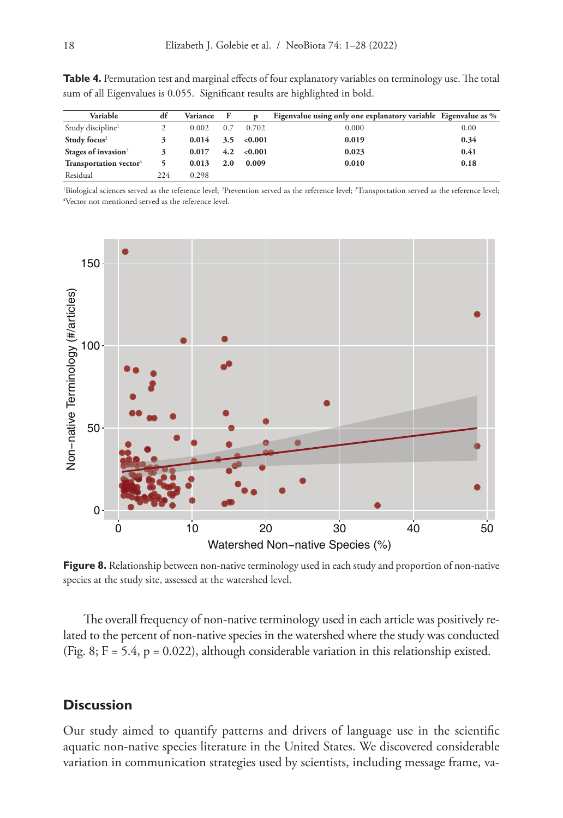| Variable                           | df  | Variance F |               |                    | Eigenvalue using only one explanatory variable Eigenvalue as % |      |
|------------------------------------|-----|------------|---------------|--------------------|----------------------------------------------------------------|------|
| Study discipline <sup>1</sup>      |     | 0.002      | 0.7           | 0.702              | 0.000                                                          | 0.00 |
| Study focus <sup>2</sup>           |     | 0.014      |               | $3.5 \quad <0.001$ | 0.019                                                          | 0.34 |
| Stages of invasion <sup>3</sup>    |     | 0.017      | $4.2^{\circ}$ | < 0.001            | 0.023                                                          | 0.41 |
| Transportation vector <sup>4</sup> |     | 0.013      | 2.0           | 0.009              | 0.010                                                          | 0.18 |
| Residual                           | 224 | 0.298      |               |                    |                                                                |      |

**Table 4.** Permutation test and marginal effects of four explanatory variables on terminology use. The total sum of all Eigenvalues is 0.055. Significant results are highlighted in bold.

'Biological sciences served as the reference level; <sup>2</sup>Prevention served as the reference level; <sup>3</sup>Transportation served as the reference level;<br><sup>4</sup>Vector not mentioned served as the reference level Vector not mentioned served as the reference level.



Figure 8. Relationship between non-native terminology used in each study and proportion of non-native species at the study site, assessed at the watershed level.

The overall frequency of non-native terminology used in each article was positively related to the percent of non-native species in the watershed where the study was conducted (Fig. 8;  $F = 5.4$ ,  $p = 0.022$ ), although considerable variation in this relationship existed.

## **Discussion**

Our study aimed to quantify patterns and drivers of language use in the scientific aquatic non-native species literature in the United States. We discovered considerable variation in communication strategies used by scientists, including message frame, va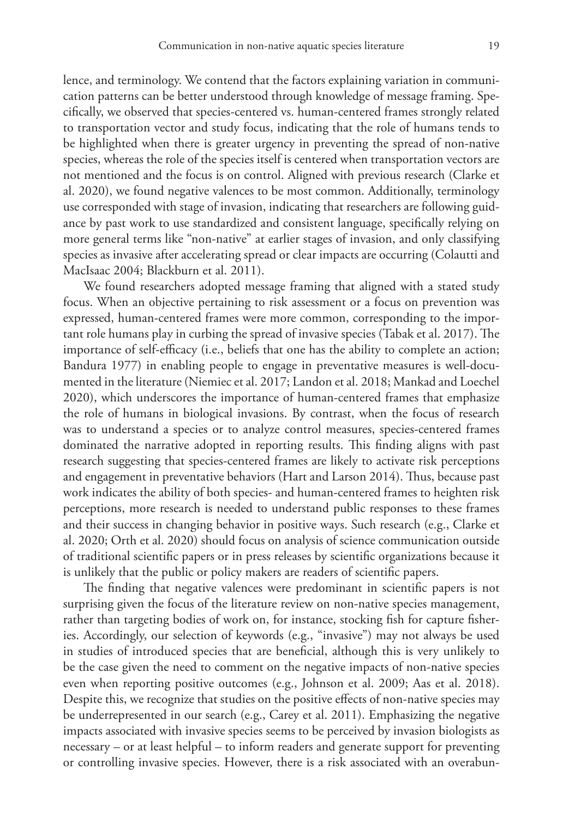lence, and terminology. We contend that the factors explaining variation in communication patterns can be better understood through knowledge of message framing. Specifically, we observed that species-centered vs. human-centered frames strongly related to transportation vector and study focus, indicating that the role of humans tends to be highlighted when there is greater urgency in preventing the spread of non-native species, whereas the role of the species itself is centered when transportation vectors are not mentioned and the focus is on control. Aligned with previous research (Clarke et al. 2020), we found negative valences to be most common. Additionally, terminology use corresponded with stage of invasion, indicating that researchers are following guidance by past work to use standardized and consistent language, specifically relying on more general terms like "non-native" at earlier stages of invasion, and only classifying species as invasive after accelerating spread or clear impacts are occurring (Colautti and MacIsaac 2004; Blackburn et al. 2011).

We found researchers adopted message framing that aligned with a stated study focus. When an objective pertaining to risk assessment or a focus on prevention was expressed, human-centered frames were more common, corresponding to the important role humans play in curbing the spread of invasive species (Tabak et al. 2017). The importance of self-efficacy (i.e., beliefs that one has the ability to complete an action; Bandura 1977) in enabling people to engage in preventative measures is well-documented in the literature (Niemiec et al. 2017; Landon et al. 2018; Mankad and Loechel 2020), which underscores the importance of human-centered frames that emphasize the role of humans in biological invasions. By contrast, when the focus of research was to understand a species or to analyze control measures, species-centered frames dominated the narrative adopted in reporting results. This finding aligns with past research suggesting that species-centered frames are likely to activate risk perceptions and engagement in preventative behaviors (Hart and Larson 2014). Thus, because past work indicates the ability of both species- and human-centered frames to heighten risk perceptions, more research is needed to understand public responses to these frames and their success in changing behavior in positive ways. Such research (e.g., Clarke et al. 2020; Orth et al. 2020) should focus on analysis of science communication outside of traditional scientific papers or in press releases by scientific organizations because it is unlikely that the public or policy makers are readers of scientific papers.

The finding that negative valences were predominant in scientific papers is not surprising given the focus of the literature review on non-native species management, rather than targeting bodies of work on, for instance, stocking fish for capture fisheries. Accordingly, our selection of keywords (e.g., "invasive") may not always be used in studies of introduced species that are beneficial, although this is very unlikely to be the case given the need to comment on the negative impacts of non-native species even when reporting positive outcomes (e.g., Johnson et al. 2009; Aas et al. 2018). Despite this, we recognize that studies on the positive effects of non-native species may be underrepresented in our search (e.g., Carey et al. 2011). Emphasizing the negative impacts associated with invasive species seems to be perceived by invasion biologists as necessary – or at least helpful – to inform readers and generate support for preventing or controlling invasive species. However, there is a risk associated with an overabun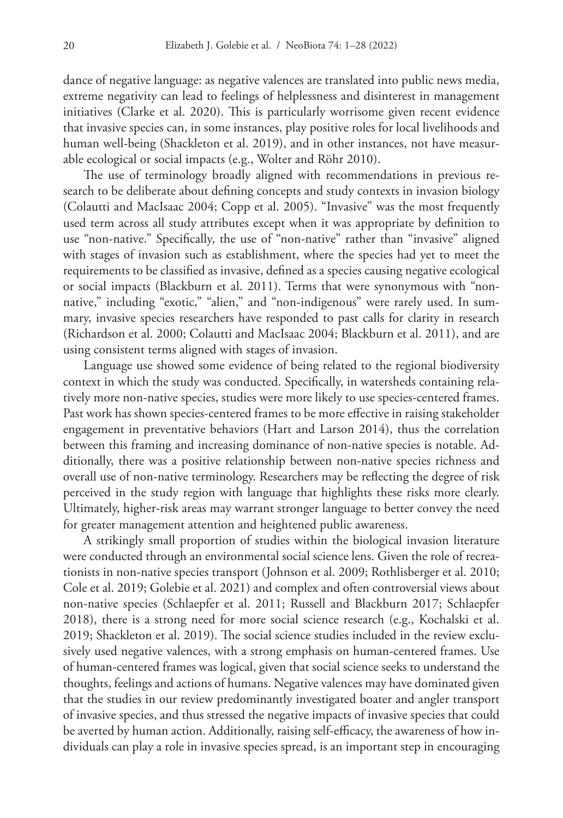dance of negative language: as negative valences are translated into public news media, extreme negativity can lead to feelings of helplessness and disinterest in management initiatives (Clarke et al. 2020). This is particularly worrisome given recent evidence that invasive species can, in some instances, play positive roles for local livelihoods and human well-being (Shackleton et al. 2019), and in other instances, not have measurable ecological or social impacts (e.g., Wolter and Röhr 2010).

The use of terminology broadly aligned with recommendations in previous research to be deliberate about defining concepts and study contexts in invasion biology (Colautti and MacIsaac 2004; Copp et al. 2005). "Invasive" was the most frequently used term across all study attributes except when it was appropriate by definition to use "non-native." Specifically, the use of "non-native" rather than "invasive" aligned with stages of invasion such as establishment, where the species had yet to meet the requirements to be classified as invasive, defined as a species causing negative ecological or social impacts (Blackburn et al. 2011). Terms that were synonymous with "nonnative," including "exotic," "alien," and "non-indigenous" were rarely used. In summary, invasive species researchers have responded to past calls for clarity in research (Richardson et al. 2000; Colautti and MacIsaac 2004; Blackburn et al. 2011), and are using consistent terms aligned with stages of invasion.

Language use showed some evidence of being related to the regional biodiversity context in which the study was conducted. Specifically, in watersheds containing relatively more non-native species, studies were more likely to use species-centered frames. Past work has shown species-centered frames to be more effective in raising stakeholder engagement in preventative behaviors (Hart and Larson 2014), thus the correlation between this framing and increasing dominance of non-native species is notable. Additionally, there was a positive relationship between non-native species richness and overall use of non-native terminology. Researchers may be reflecting the degree of risk perceived in the study region with language that highlights these risks more clearly. Ultimately, higher-risk areas may warrant stronger language to better convey the need for greater management attention and heightened public awareness.

A strikingly small proportion of studies within the biological invasion literature were conducted through an environmental social science lens. Given the role of recreationists in non-native species transport (Johnson et al. 2009; Rothlisberger et al. 2010; Cole et al. 2019; Golebie et al. 2021) and complex and often controversial views about non-native species (Schlaepfer et al. 2011; Russell and Blackburn 2017; Schlaepfer 2018), there is a strong need for more social science research (e.g., Kochalski et al. 2019; Shackleton et al. 2019). The social science studies included in the review exclusively used negative valences, with a strong emphasis on human-centered frames. Use of human-centered frames was logical, given that social science seeks to understand the thoughts, feelings and actions of humans. Negative valences may have dominated given that the studies in our review predominantly investigated boater and angler transport of invasive species, and thus stressed the negative impacts of invasive species that could be averted by human action. Additionally, raising self-efficacy, the awareness of how individuals can play a role in invasive species spread, is an important step in encouraging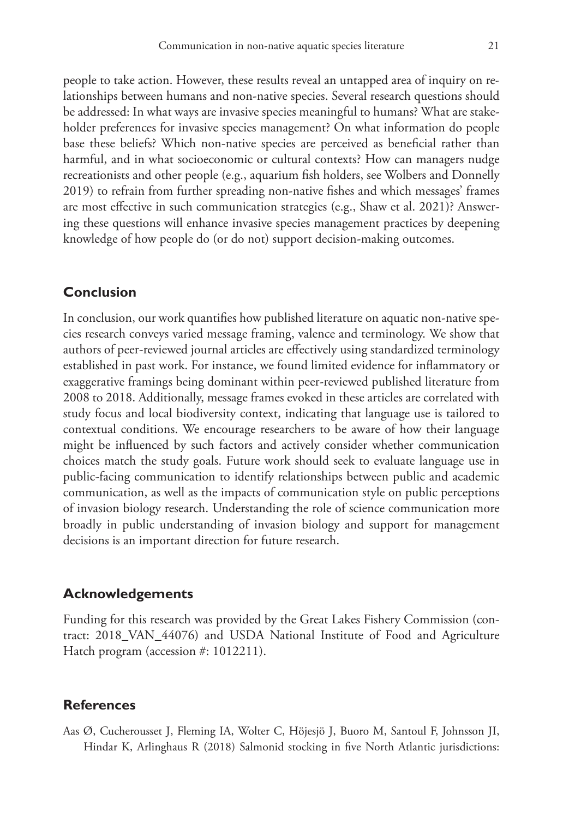people to take action. However, these results reveal an untapped area of inquiry on relationships between humans and non-native species. Several research questions should be addressed: In what ways are invasive species meaningful to humans? What are stakeholder preferences for invasive species management? On what information do people base these beliefs? Which non-native species are perceived as beneficial rather than harmful, and in what socioeconomic or cultural contexts? How can managers nudge recreationists and other people (e.g., aquarium fish holders, see Wolbers and Donnelly 2019) to refrain from further spreading non-native fishes and which messages' frames are most effective in such communication strategies (e.g., Shaw et al. 2021)? Answering these questions will enhance invasive species management practices by deepening knowledge of how people do (or do not) support decision-making outcomes.

## **Conclusion**

In conclusion, our work quantifies how published literature on aquatic non-native species research conveys varied message framing, valence and terminology. We show that authors of peer-reviewed journal articles are effectively using standardized terminology established in past work. For instance, we found limited evidence for inflammatory or exaggerative framings being dominant within peer-reviewed published literature from 2008 to 2018. Additionally, message frames evoked in these articles are correlated with study focus and local biodiversity context, indicating that language use is tailored to contextual conditions. We encourage researchers to be aware of how their language might be influenced by such factors and actively consider whether communication choices match the study goals. Future work should seek to evaluate language use in public-facing communication to identify relationships between public and academic communication, as well as the impacts of communication style on public perceptions of invasion biology research. Understanding the role of science communication more broadly in public understanding of invasion biology and support for management decisions is an important direction for future research.

## **Acknowledgements**

Funding for this research was provided by the Great Lakes Fishery Commission (contract: 2018\_VAN\_44076) and USDA National Institute of Food and Agriculture Hatch program (accession #: 1012211).

### **References**

Aas Ø, Cucherousset J, Fleming IA, Wolter C, Höjesjö J, Buoro M, Santoul F, Johnsson JI, Hindar K, Arlinghaus R (2018) Salmonid stocking in five North Atlantic jurisdictions: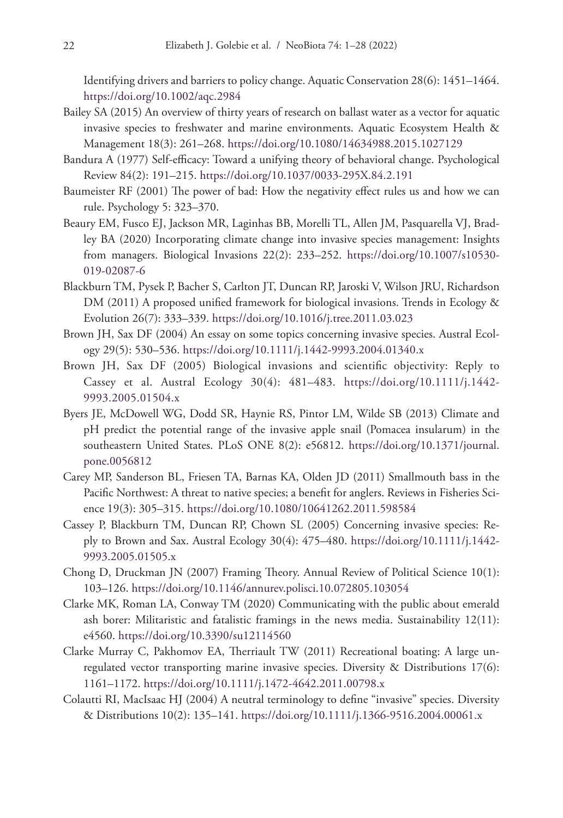Identifying drivers and barriers to policy change. Aquatic Conservation 28(6): 1451–1464. <https://doi.org/10.1002/aqc.2984>

- Bailey SA (2015) An overview of thirty years of research on ballast water as a vector for aquatic invasive species to freshwater and marine environments. Aquatic Ecosystem Health & Management 18(3): 261–268.<https://doi.org/10.1080/14634988.2015.1027129>
- Bandura A (1977) Self-efficacy: Toward a unifying theory of behavioral change. Psychological Review 84(2): 191–215.<https://doi.org/10.1037/0033-295X.84.2.191>
- Baumeister RF (2001) The power of bad: How the negativity effect rules us and how we can rule. Psychology 5: 323–370.
- Beaury EM, Fusco EJ, Jackson MR, Laginhas BB, Morelli TL, Allen JM, Pasquarella VJ, Bradley BA (2020) Incorporating climate change into invasive species management: Insights from managers. Biological Invasions 22(2): 233–252. [https://doi.org/10.1007/s10530-](https://doi.org/10.1007/s10530-019-02087-6) [019-02087-6](https://doi.org/10.1007/s10530-019-02087-6)
- Blackburn TM, Pysek P, Bacher S, Carlton JT, Duncan RP, Jaroski V, Wilson JRU, Richardson DM (2011) A proposed unified framework for biological invasions. Trends in Ecology & Evolution 26(7): 333–339.<https://doi.org/10.1016/j.tree.2011.03.023>
- Brown JH, Sax DF (2004) An essay on some topics concerning invasive species. Austral Ecology 29(5): 530–536.<https://doi.org/10.1111/j.1442-9993.2004.01340.x>
- Brown JH, Sax DF (2005) Biological invasions and scientific objectivity: Reply to Cassey et al. Austral Ecology 30(4): 481–483. [https://doi.org/10.1111/j.1442-](https://doi.org/10.1111/j.1442-9993.2005.01504.x) [9993.2005.01504.x](https://doi.org/10.1111/j.1442-9993.2005.01504.x)
- Byers JE, McDowell WG, Dodd SR, Haynie RS, Pintor LM, Wilde SB (2013) Climate and pH predict the potential range of the invasive apple snail (Pomacea insularum) in the southeastern United States. PLoS ONE 8(2): e56812. [https://doi.org/10.1371/journal.](https://doi.org/10.1371/journal.pone.0056812) [pone.0056812](https://doi.org/10.1371/journal.pone.0056812)
- Carey MP, Sanderson BL, Friesen TA, Barnas KA, Olden JD (2011) Smallmouth bass in the Pacific Northwest: A threat to native species; a benefit for anglers. Reviews in Fisheries Science 19(3): 305–315. <https://doi.org/10.1080/10641262.2011.598584>
- Cassey P, Blackburn TM, Duncan RP, Chown SL (2005) Concerning invasive species: Reply to Brown and Sax. Austral Ecology 30(4): 475–480. [https://doi.org/10.1111/j.1442-](https://doi.org/10.1111/j.1442-9993.2005.01505.x) [9993.2005.01505.x](https://doi.org/10.1111/j.1442-9993.2005.01505.x)
- Chong D, Druckman JN (2007) Framing Theory. Annual Review of Political Science 10(1): 103–126.<https://doi.org/10.1146/annurev.polisci.10.072805.103054>
- Clarke MK, Roman LA, Conway TM (2020) Communicating with the public about emerald ash borer: Militaristic and fatalistic framings in the news media. Sustainability 12(11): e4560.<https://doi.org/10.3390/su12114560>
- Clarke Murray C, Pakhomov EA, Therriault TW (2011) Recreational boating: A large unregulated vector transporting marine invasive species. Diversity & Distributions 17(6): 1161–1172.<https://doi.org/10.1111/j.1472-4642.2011.00798.x>
- Colautti RI, MacIsaac HJ (2004) A neutral terminology to define "invasive" species. Diversity & Distributions 10(2): 135–141. <https://doi.org/10.1111/j.1366-9516.2004.00061.x>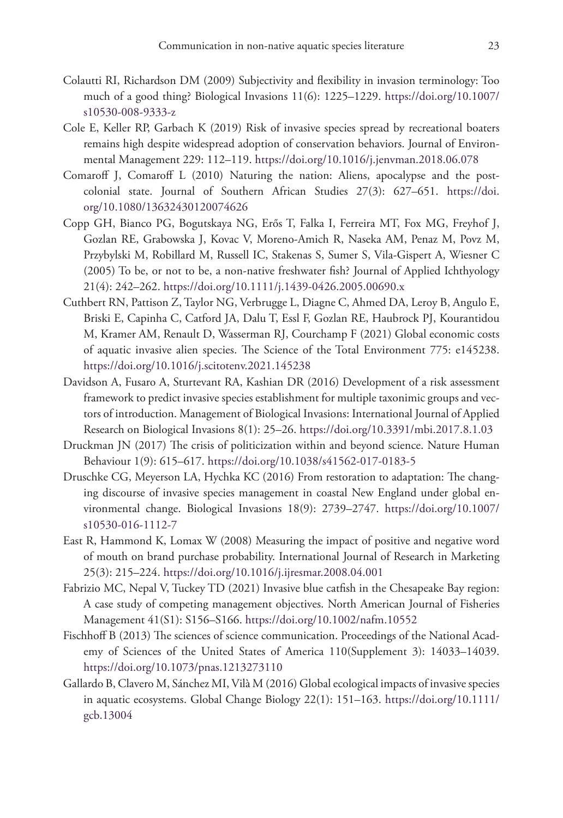- Colautti RI, Richardson DM (2009) Subjectivity and flexibility in invasion terminology: Too much of a good thing? Biological Invasions 11(6): 1225–1229. [https://doi.org/10.1007/](https://doi.org/10.1007/s10530-008-9333-z) [s10530-008-9333-z](https://doi.org/10.1007/s10530-008-9333-z)
- Cole E, Keller RP, Garbach K (2019) Risk of invasive species spread by recreational boaters remains high despite widespread adoption of conservation behaviors. Journal of Environmental Management 229: 112–119.<https://doi.org/10.1016/j.jenvman.2018.06.078>
- Comaroff J, Comaroff L (2010) Naturing the nation: Aliens, apocalypse and the postcolonial state. Journal of Southern African Studies 27(3): 627–651. [https://doi.](https://doi.org/10.1080/13632430120074626) [org/10.1080/13632430120074626](https://doi.org/10.1080/13632430120074626)
- Copp GH, Bianco PG, Bogutskaya NG, Erős T, Falka I, Ferreira MT, Fox MG, Freyhof J, Gozlan RE, Grabowska J, Kovac V, Moreno-Amich R, Naseka AM, Penaz M, Povz M, Przybylski M, Robillard M, Russell IC, Stakenas S, Sumer S, Vila-Gispert A, Wiesner C (2005) To be, or not to be, a non‐native freshwater fish? Journal of Applied Ichthyology 21(4): 242–262. <https://doi.org/10.1111/j.1439-0426.2005.00690.x>
- Cuthbert RN, Pattison Z, Taylor NG, Verbrugge L, Diagne C, Ahmed DA, Leroy B, Angulo E, Briski E, Capinha C, Catford JA, Dalu T, Essl F, Gozlan RE, Haubrock PJ, Kourantidou M, Kramer AM, Renault D, Wasserman RJ, Courchamp F (2021) Global economic costs of aquatic invasive alien species. The Science of the Total Environment 775: e145238. <https://doi.org/10.1016/j.scitotenv.2021.145238>
- Davidson A, Fusaro A, Sturtevant RA, Kashian DR (2016) Development of a risk assessment framework to predict invasive species establishment for multiple taxonimic groups and vectors of introduction. Management of Biological Invasions: International Journal of Applied Research on Biological Invasions 8(1): 25–26.<https://doi.org/10.3391/mbi.2017.8.1.03>
- Druckman JN (2017) The crisis of politicization within and beyond science. Nature Human Behaviour 1(9): 615–617. <https://doi.org/10.1038/s41562-017-0183-5>
- Druschke CG, Meyerson LA, Hychka KC (2016) From restoration to adaptation: The changing discourse of invasive species management in coastal New England under global environmental change. Biological Invasions 18(9): 2739–2747. [https://doi.org/10.1007/](https://doi.org/10.1007/s10530-016-1112-7) [s10530-016-1112-7](https://doi.org/10.1007/s10530-016-1112-7)
- East R, Hammond K, Lomax W (2008) Measuring the impact of positive and negative word of mouth on brand purchase probability. International Journal of Research in Marketing 25(3): 215–224. <https://doi.org/10.1016/j.ijresmar.2008.04.001>
- Fabrizio MC, Nepal V, Tuckey TD (2021) Invasive blue catfish in the Chesapeake Bay region: A case study of competing management objectives. North American Journal of Fisheries Management 41(S1): S156–S166. <https://doi.org/10.1002/nafm.10552>
- Fischhoff B (2013) The sciences of science communication. Proceedings of the National Academy of Sciences of the United States of America 110(Supplement 3): 14033–14039. <https://doi.org/10.1073/pnas.1213273110>
- Gallardo B, Clavero M, Sánchez MI, Vilà M (2016) Global ecological impacts of invasive species in aquatic ecosystems. Global Change Biology 22(1): 151–163. [https://doi.org/10.1111/](https://doi.org/10.1111/gcb.13004) [gcb.13004](https://doi.org/10.1111/gcb.13004)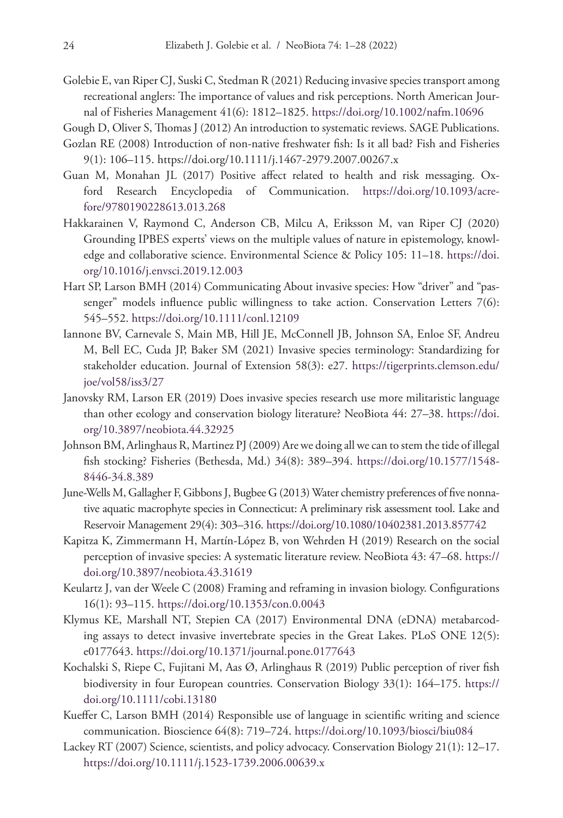- Golebie E, van Riper CJ, Suski C, Stedman R (2021) Reducing invasivespecies transport among recreational anglers: The importance of values and risk perceptions. North American Journal of Fisheries Management 41(6): 1812–1825.<https://doi.org/10.1002/nafm.10696>
- Gough D, Oliver S, Thomas J (2012) An introduction to systematic reviews. SAGE Publications.
- Gozlan RE (2008) Introduction of non-native freshwater fish: Is it all bad? Fish and Fisheries 9(1): 106–115. <https://doi.org/10.1111/j.1467-2979.2007.00267.x>
- Guan M, Monahan JL (2017) Positive affect related to health and risk messaging. Oxford Research Encyclopedia of Communication. [https://doi.org/10.1093/acre](https://doi.org/10.1093/acrefore/9780190228613.013.268)[fore/9780190228613.013.268](https://doi.org/10.1093/acrefore/9780190228613.013.268)
- Hakkarainen V, Raymond C, Anderson CB, Milcu A, Eriksson M, van Riper CJ (2020) Grounding IPBES experts' views on the multiple values of nature in epistemology, knowledge and collaborative science. Environmental Science & Policy 105: 11–18. [https://doi.](https://doi.org/10.1016/j.envsci.2019.12.003) [org/10.1016/j.envsci.2019.12.003](https://doi.org/10.1016/j.envsci.2019.12.003)
- Hart SP, Larson BMH (2014) Communicating About invasive species: How "driver" and "passenger" models influence public willingness to take action. Conservation Letters 7(6): 545–552.<https://doi.org/10.1111/conl.12109>
- Iannone BV, Carnevale S, Main MB, Hill JE, McConnell JB, Johnson SA, Enloe SF, Andreu M, Bell EC, Cuda JP, Baker SM (2021) Invasive species terminology: Standardizing for stakeholder education. Journal of Extension 58(3): e27. [https://tigerprints.clemson.edu/](https://tigerprints.clemson.edu/joe/vol58/iss3/27) [joe/vol58/iss3/27](https://tigerprints.clemson.edu/joe/vol58/iss3/27)
- Janovsky RM, Larson ER (2019) Does invasive species research use more militaristic language than other ecology and conservation biology literature? NeoBiota 44: 27–38. [https://doi.](https://doi.org/10.3897/neobiota.44.32925) [org/10.3897/neobiota.44.32925](https://doi.org/10.3897/neobiota.44.32925)
- Johnson BM, Arlinghaus R, Martinez PJ (2009) Are we doing all we can to stem the tide of illegal fish stocking? Fisheries (Bethesda, Md.) 34(8): 389–394. [https://doi.org/10.1577/1548-](https://doi.org/10.1577/1548-8446-34.8.389) [8446-34.8.389](https://doi.org/10.1577/1548-8446-34.8.389)
- June-Wells M, Gallagher F, Gibbons J, Bugbee G (2013) Water chemistry preferences of five nonnative aquatic macrophyte species in Connecticut: A preliminary risk assessment tool. Lake and Reservoir Management 29(4): 303–316.<https://doi.org/10.1080/10402381.2013.857742>
- Kapitza K, Zimmermann H, Martín-López B, von Wehrden H (2019) Research on the social perception of invasive species: A systematic literature review. NeoBiota 43: 47–68. [https://](https://doi.org/10.3897/neobiota.43.31619) [doi.org/10.3897/neobiota.43.31619](https://doi.org/10.3897/neobiota.43.31619)
- Keulartz J, van der Weele C (2008) Framing and reframing in invasion biology. Configurations 16(1): 93–115. <https://doi.org/10.1353/con.0.0043>
- Klymus KE, Marshall NT, Stepien CA (2017) Environmental DNA (eDNA) metabarcoding assays to detect invasive invertebrate species in the Great Lakes. PLoS ONE 12(5): e0177643.<https://doi.org/10.1371/journal.pone.0177643>
- Kochalski S, Riepe C, Fujitani M, Aas Ø, Arlinghaus R (2019) Public perception of river fish biodiversity in four European countries. Conservation Biology 33(1): 164–175. [https://](https://doi.org/10.1111/cobi.13180) [doi.org/10.1111/cobi.13180](https://doi.org/10.1111/cobi.13180)
- Kueffer C, Larson BMH (2014) Responsible use of language in scientific writing and science communication. Bioscience 64(8): 719–724.<https://doi.org/10.1093/biosci/biu084>
- Lackey RT (2007) Science, scientists, and policy advocacy. Conservation Biology 21(1): 12–17. <https://doi.org/10.1111/j.1523-1739.2006.00639.x>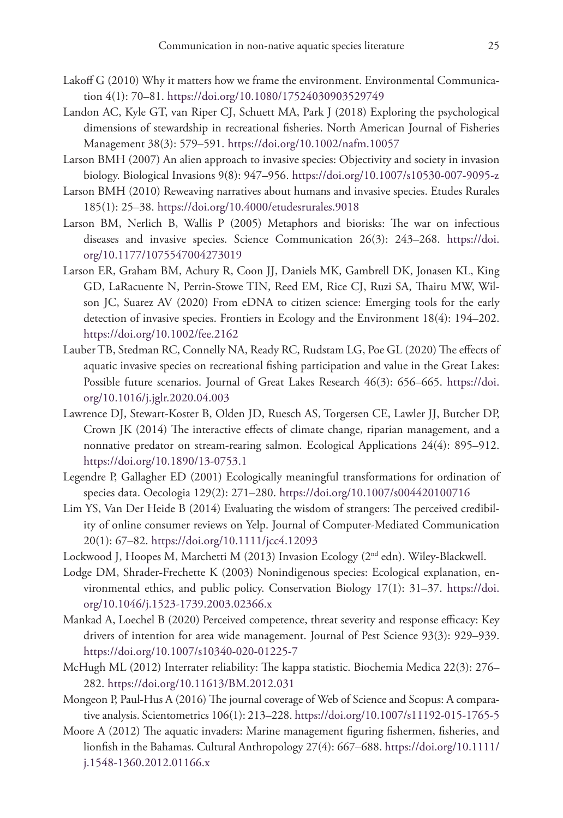- Lakoff G (2010) Why it matters how we frame the environment. Environmental Communication 4(1): 70–81.<https://doi.org/10.1080/17524030903529749>
- Landon AC, Kyle GT, van Riper CJ, Schuett MA, Park J (2018) Exploring the psychological dimensions of stewardship in recreational fisheries. North American Journal of Fisheries Management 38(3): 579–591.<https://doi.org/10.1002/nafm.10057>
- Larson BMH (2007) An alien approach to invasive species: Objectivity and society in invasion biology. Biological Invasions 9(8): 947–956. <https://doi.org/10.1007/s10530-007-9095-z>
- Larson BMH (2010) Reweaving narratives about humans and invasive species. Etudes Rurales 185(1): 25–38. <https://doi.org/10.4000/etudesrurales.9018>
- Larson BM, Nerlich B, Wallis P (2005) Metaphors and biorisks: The war on infectious diseases and invasive species. Science Communication 26(3): 243–268. [https://doi.](https://doi.org/10.1177/1075547004273019) [org/10.1177/1075547004273019](https://doi.org/10.1177/1075547004273019)
- Larson ER, Graham BM, Achury R, Coon JJ, Daniels MK, Gambrell DK, Jonasen KL, King GD, LaRacuente N, Perrin-Stowe TIN, Reed EM, Rice CJ, Ruzi SA, Thairu MW, Wilson JC, Suarez AV (2020) From eDNA to citizen science: Emerging tools for the early detection of invasive species. Frontiers in Ecology and the Environment 18(4): 194–202. <https://doi.org/10.1002/fee.2162>
- Lauber TB, Stedman RC, Connelly NA, Ready RC, Rudstam LG, Poe GL (2020) The effects of aquatic invasive species on recreational fishing participation and value in the Great Lakes: Possible future scenarios. Journal of Great Lakes Research 46(3): 656–665. [https://doi.](https://doi.org/10.1016/j.jglr.2020.04.003) [org/10.1016/j.jglr.2020.04.003](https://doi.org/10.1016/j.jglr.2020.04.003)
- Lawrence DJ, Stewart-Koster B, Olden JD, Ruesch AS, Torgersen CE, Lawler JJ, Butcher DP, Crown JK (2014) The interactive effects of climate change, riparian management, and a nonnative predator on stream‐rearing salmon. Ecological Applications 24(4): 895–912. <https://doi.org/10.1890/13-0753.1>
- Legendre P, Gallagher ED (2001) Ecologically meaningful transformations for ordination of species data. Oecologia 129(2): 271–280.<https://doi.org/10.1007/s004420100716>
- Lim YS, Van Der Heide B (2014) Evaluating the wisdom of strangers: The perceived credibility of online consumer reviews on Yelp. Journal of Computer-Mediated Communication 20(1): 67–82. <https://doi.org/10.1111/jcc4.12093>
- Lockwood J, Hoopes M, Marchetti M (2013) Invasion Ecology (2<sup>nd</sup> edn). Wiley-Blackwell.
- Lodge DM, Shrader-Frechette K (2003) Nonindigenous species: Ecological explanation, environmental ethics, and public policy. Conservation Biology 17(1): 31–37. [https://doi.](https://doi.org/10.1046/j.1523-1739.2003.02366.x) [org/10.1046/j.1523-1739.2003.02366.x](https://doi.org/10.1046/j.1523-1739.2003.02366.x)
- Mankad A, Loechel B (2020) Perceived competence, threat severity and response efficacy: Key drivers of intention for area wide management. Journal of Pest Science 93(3): 929–939. <https://doi.org/10.1007/s10340-020-01225-7>
- McHugh ML (2012) Interrater reliability: The kappa statistic. Biochemia Medica 22(3): 276– 282.<https://doi.org/10.11613/BM.2012.031>
- Mongeon P, Paul-Hus A (2016) The journal coverage of Web of Science and Scopus: A comparative analysis. Scientometrics 106(1): 213–228.<https://doi.org/10.1007/s11192-015-1765-5>
- Moore A (2012) The aquatic invaders: Marine management figuring fishermen, fisheries, and lionfish in the Bahamas. Cultural Anthropology 27(4): 667–688. [https://doi.org/10.1111/](https://doi.org/10.1111/j.1548-1360.2012.01166.x) [j.1548-1360.2012.01166.x](https://doi.org/10.1111/j.1548-1360.2012.01166.x)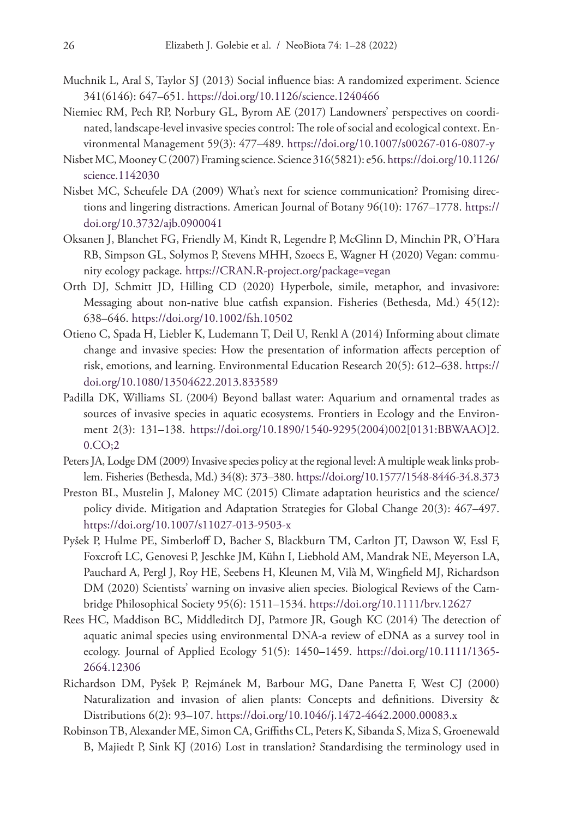- Muchnik L, Aral S, Taylor SJ (2013) Social influence bias: A randomized experiment. Science 341(6146): 647–651. <https://doi.org/10.1126/science.1240466>
- Niemiec RM, Pech RP, Norbury GL, Byrom AE (2017) Landowners' perspectives on coordinated, landscape-level invasive species control: The role of social and ecological context. Environmental Management 59(3): 477–489. <https://doi.org/10.1007/s00267-016-0807-y>
- Nisbet MC, Mooney C (2007) Framing science. Science 316(5821): e56. [https://doi.org/10.1126/](https://doi.org/10.1126/science.1142030) [science.1142030](https://doi.org/10.1126/science.1142030)
- Nisbet MC, Scheufele DA (2009) What's next for science communication? Promising directions and lingering distractions. American Journal of Botany 96(10): 1767–1778. [https://](https://doi.org/10.3732/ajb.0900041) [doi.org/10.3732/ajb.0900041](https://doi.org/10.3732/ajb.0900041)
- Oksanen J, Blanchet FG, Friendly M, Kindt R, Legendre P, McGlinn D, Minchin PR, O'Hara RB, Simpson GL, Solymos P, Stevens MHH, Szoecs E, Wagner H (2020) Vegan: community ecology package.<https://CRAN.R-project.org/package=vegan>
- Orth DJ, Schmitt JD, Hilling CD (2020) Hyperbole, simile, metaphor, and invasivore: Messaging about non-native blue catfish expansion. Fisheries (Bethesda, Md.) 45(12): 638–646.<https://doi.org/10.1002/fsh.10502>
- Otieno C, Spada H, Liebler K, Ludemann T, Deil U, Renkl A (2014) Informing about climate change and invasive species: How the presentation of information affects perception of risk, emotions, and learning. Environmental Education Research 20(5): 612–638. [https://](https://doi.org/10.1080/13504622.2013.833589) [doi.org/10.1080/13504622.2013.833589](https://doi.org/10.1080/13504622.2013.833589)
- Padilla DK, Williams SL (2004) Beyond ballast water: Aquarium and ornamental trades as sources of invasive species in aquatic ecosystems. Frontiers in Ecology and the Environment 2(3): 131–138. [https://doi.org/10.1890/1540-9295\(2004\)002\[0131:BBWAAO\]2.](https://doi.org/10.1890/1540-9295(2004)002%5B0131:BBWAAO%5D2.0.CO;2) [0.CO;2](https://doi.org/10.1890/1540-9295(2004)002%5B0131:BBWAAO%5D2.0.CO;2)
- Peters JA, Lodge DM (2009) Invasive species policy at the regional level: A multiple weak links problem. Fisheries (Bethesda, Md.) 34(8): 373–380.<https://doi.org/10.1577/1548-8446-34.8.373>
- Preston BL, Mustelin J, Maloney MC (2015) Climate adaptation heuristics and the science/ policy divide. Mitigation and Adaptation Strategies for Global Change 20(3): 467–497. <https://doi.org/10.1007/s11027-013-9503-x>
- Pyšek P, Hulme PE, Simberloff D, Bacher S, Blackburn TM, Carlton JT, Dawson W, Essl F, Foxcroft LC, Genovesi P, Jeschke JM, Kühn I, Liebhold AM, Mandrak NE, Meyerson LA, Pauchard A, Pergl J, Roy HE, Seebens H, Kleunen M, Vilà M, Wingfield MJ, Richardson DM (2020) Scientists' warning on invasive alien species. Biological Reviews of the Cambridge Philosophical Society 95(6): 1511–1534.<https://doi.org/10.1111/brv.12627>
- Rees HC, Maddison BC, Middleditch DJ, Patmore JR, Gough KC (2014) The detection of aquatic animal species using environmental DNA-a review of eDNA as a survey tool in ecology. Journal of Applied Ecology 51(5): 1450–1459. [https://doi.org/10.1111/1365-](https://doi.org/10.1111/1365-2664.12306) [2664.12306](https://doi.org/10.1111/1365-2664.12306)
- Richardson DM, Pyšek P, Rejmánek M, Barbour MG, Dane Panetta F, West CJ (2000) Naturalization and invasion of alien plants: Concepts and definitions. Diversity & Distributions 6(2): 93–107. <https://doi.org/10.1046/j.1472-4642.2000.00083.x>
- Robinson TB, Alexander ME, Simon CA, Griffiths CL, Peters K, Sibanda S, Miza S, Groenewald B, Majiedt P, Sink KJ (2016) Lost in translation? Standardising the terminology used in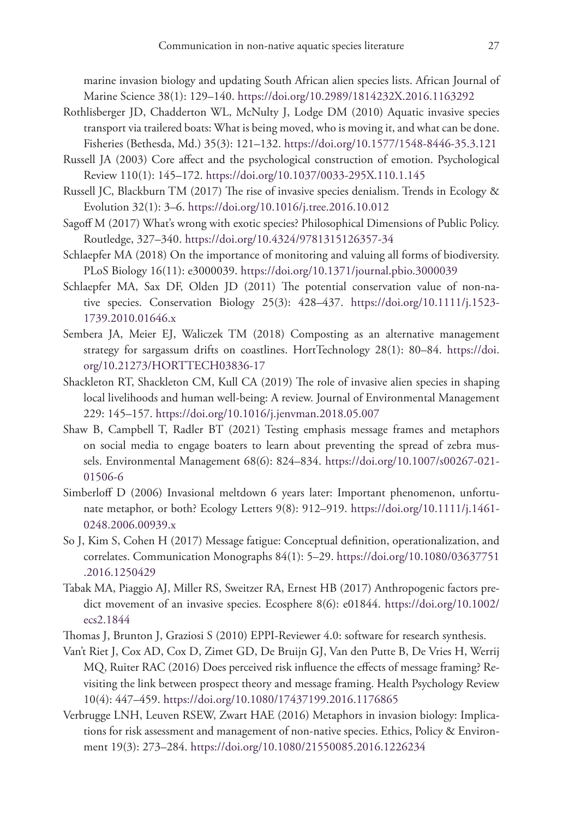marine invasion biology and updating South African alien species lists. African Journal of Marine Science 38(1): 129–140. <https://doi.org/10.2989/1814232X.2016.1163292>

- Rothlisberger JD, Chadderton WL, McNulty J, Lodge DM (2010) Aquatic invasive species transport via trailered boats: What is being moved, who is moving it, and what can be done. Fisheries (Bethesda, Md.) 35(3): 121–132.<https://doi.org/10.1577/1548-8446-35.3.121>
- Russell JA (2003) Core affect and the psychological construction of emotion. Psychological Review 110(1): 145–172.<https://doi.org/10.1037/0033-295X.110.1.145>
- Russell JC, Blackburn TM (2017) The rise of invasive species denialism. Trends in Ecology & Evolution 32(1): 3–6.<https://doi.org/10.1016/j.tree.2016.10.012>
- Sagoff M (2017) What's wrong with exotic species? Philosophical Dimensions of Public Policy. Routledge, 327–340. <https://doi.org/10.4324/9781315126357-34>
- Schlaepfer MA (2018) On the importance of monitoring and valuing all forms of biodiversity. PLoS Biology 16(11): e3000039.<https://doi.org/10.1371/journal.pbio.3000039>
- Schlaepfer MA, Sax DF, Olden JD (2011) The potential conservation value of non-native species. Conservation Biology 25(3): 428–437. [https://doi.org/10.1111/j.1523-](https://doi.org/10.1111/j.1523-1739.2010.01646.x) [1739.2010.01646.x](https://doi.org/10.1111/j.1523-1739.2010.01646.x)
- Sembera JA, Meier EJ, Waliczek TM (2018) Composting as an alternative management strategy for sargassum drifts on coastlines. HortTechnology 28(1): 80–84. [https://doi.](https://doi.org/10.21273/HORTTECH03836-17) [org/10.21273/HORTTECH03836-17](https://doi.org/10.21273/HORTTECH03836-17)
- Shackleton RT, Shackleton CM, Kull CA (2019) The role of invasive alien species in shaping local livelihoods and human well-being: A review. Journal of Environmental Management 229: 145–157.<https://doi.org/10.1016/j.jenvman.2018.05.007>
- Shaw B, Campbell T, Radler BT (2021) Testing emphasis message frames and metaphors on social media to engage boaters to learn about preventing the spread of zebra mussels. Environmental Management 68(6): 824–834. [https://doi.org/10.1007/s00267-021-](https://doi.org/10.1007/s00267-021-01506-6) [01506-6](https://doi.org/10.1007/s00267-021-01506-6)
- Simberloff D (2006) Invasional meltdown 6 years later: Important phenomenon, unfortunate metaphor, or both? Ecology Letters 9(8): 912–919. [https://doi.org/10.1111/j.1461-](https://doi.org/10.1111/j.1461-0248.2006.00939.x) [0248.2006.00939.x](https://doi.org/10.1111/j.1461-0248.2006.00939.x)
- So J, Kim S, Cohen H (2017) Message fatigue: Conceptual definition, operationalization, and correlates. Communication Monographs 84(1): 5–29. [https://doi.org/10.1080/03637751](https://doi.org/10.1080/03637751.2016.1250429) [.2016.1250429](https://doi.org/10.1080/03637751.2016.1250429)
- Tabak MA, Piaggio AJ, Miller RS, Sweitzer RA, Ernest HB (2017) Anthropogenic factors predict movement of an invasive species. Ecosphere 8(6): e01844. [https://doi.org/10.1002/](https://doi.org/10.1002/ecs2.1844) [ecs2.1844](https://doi.org/10.1002/ecs2.1844)
- Thomas J, Brunton J, Graziosi S (2010) EPPI-Reviewer 4.0: software for research synthesis.
- Van't Riet J, Cox AD, Cox D, Zimet GD, De Bruijn GJ, Van den Putte B, De Vries H, Werrij MQ, Ruiter RAC (2016) Does perceived risk influence the effects of message framing? Revisiting the link between prospect theory and message framing. Health Psychology Review 10(4): 447–459. <https://doi.org/10.1080/17437199.2016.1176865>
- Verbrugge LNH, Leuven RSEW, Zwart HAE (2016) Metaphors in invasion biology: Implications for risk assessment and management of non-native species. Ethics, Policy & Environment 19(3): 273–284.<https://doi.org/10.1080/21550085.2016.1226234>